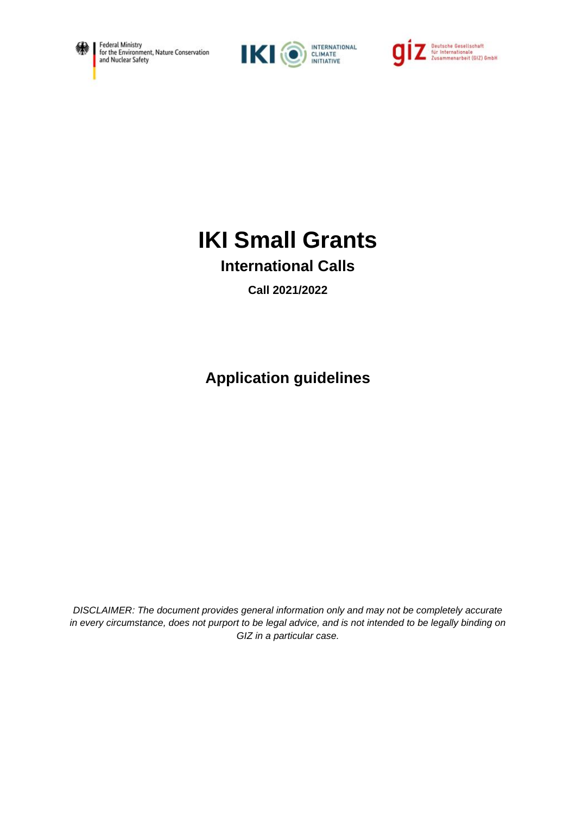





# **IKI Small Grants**

# **International Calls**

**Call 2021/2022**

**Application guidelines**

*DISCLAIMER: The document provides general information only and may not be completely accurate in every circumstance, does not purport to be legal advice, and is not intended to be legally binding on GIZ in a particular case.*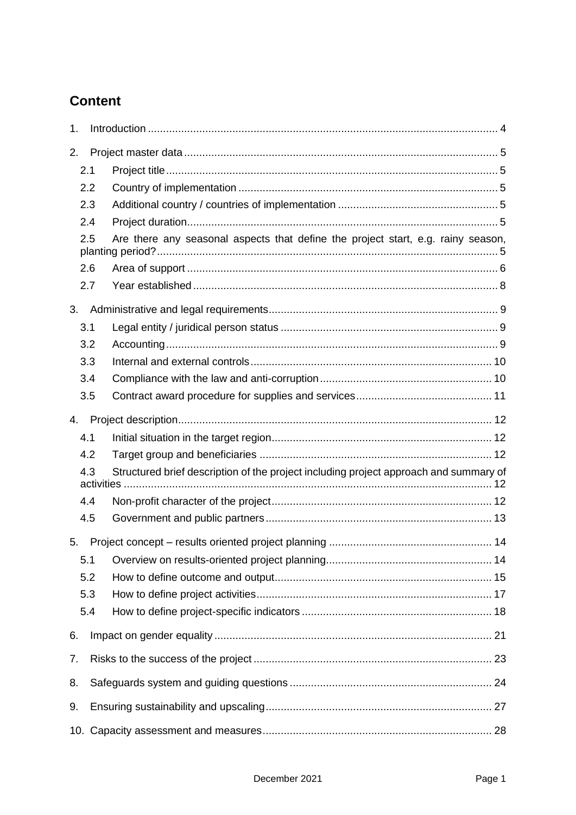# **Content**

| 1. |     |                                                                                       |  |
|----|-----|---------------------------------------------------------------------------------------|--|
| 2. |     |                                                                                       |  |
|    | 2.1 |                                                                                       |  |
|    | 2.2 |                                                                                       |  |
|    | 2.3 |                                                                                       |  |
|    | 2.4 |                                                                                       |  |
|    | 2.5 | Are there any seasonal aspects that define the project start, e.g. rainy season,      |  |
|    | 2.6 |                                                                                       |  |
|    | 2.7 |                                                                                       |  |
| 3. |     |                                                                                       |  |
|    | 3.1 |                                                                                       |  |
|    | 3.2 |                                                                                       |  |
|    | 3.3 |                                                                                       |  |
|    | 3.4 |                                                                                       |  |
|    | 3.5 |                                                                                       |  |
| 4. |     |                                                                                       |  |
|    | 4.1 |                                                                                       |  |
|    | 4.2 |                                                                                       |  |
|    | 4.3 | Structured brief description of the project including project approach and summary of |  |
|    | 4.4 |                                                                                       |  |
|    | 4.5 |                                                                                       |  |
| 5. |     |                                                                                       |  |
|    | 5.1 |                                                                                       |  |
|    | 5.2 |                                                                                       |  |
|    | 5.3 |                                                                                       |  |
|    | 5.4 |                                                                                       |  |
| 6. |     |                                                                                       |  |
| 7. |     |                                                                                       |  |
| 8. |     |                                                                                       |  |
| 9. |     |                                                                                       |  |
|    |     |                                                                                       |  |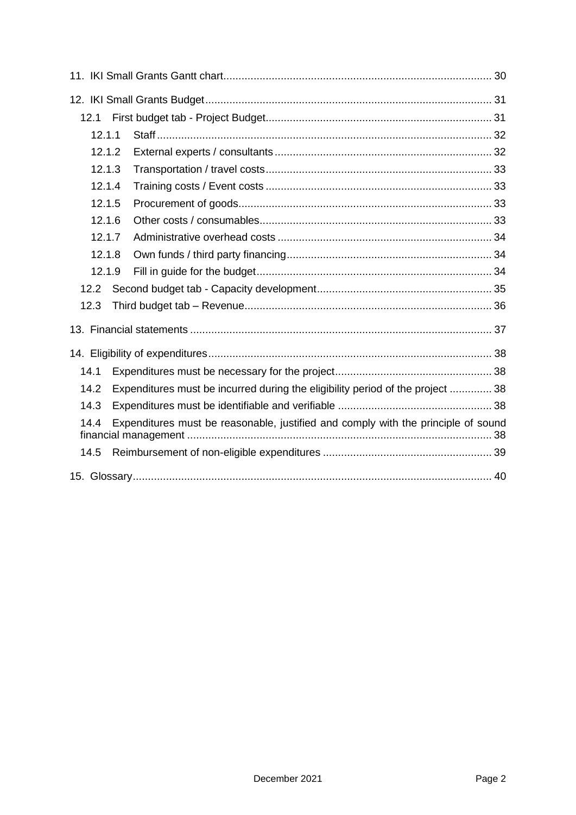| 12.1   |                                                                                   |  |
|--------|-----------------------------------------------------------------------------------|--|
| 12.1.1 |                                                                                   |  |
| 12.1.2 |                                                                                   |  |
| 12.1.3 |                                                                                   |  |
| 12.1.4 |                                                                                   |  |
| 12.1.5 |                                                                                   |  |
| 12.1.6 |                                                                                   |  |
| 12.1.7 |                                                                                   |  |
| 12.1.8 |                                                                                   |  |
| 12.1.9 |                                                                                   |  |
| 12.2   |                                                                                   |  |
| 12.3   |                                                                                   |  |
|        |                                                                                   |  |
|        |                                                                                   |  |
| 14.1   |                                                                                   |  |
| 14.2   | Expenditures must be incurred during the eligibility period of the project  38    |  |
| 14.3   |                                                                                   |  |
| 14.4   | Expenditures must be reasonable, justified and comply with the principle of sound |  |
| 14.5   |                                                                                   |  |
|        |                                                                                   |  |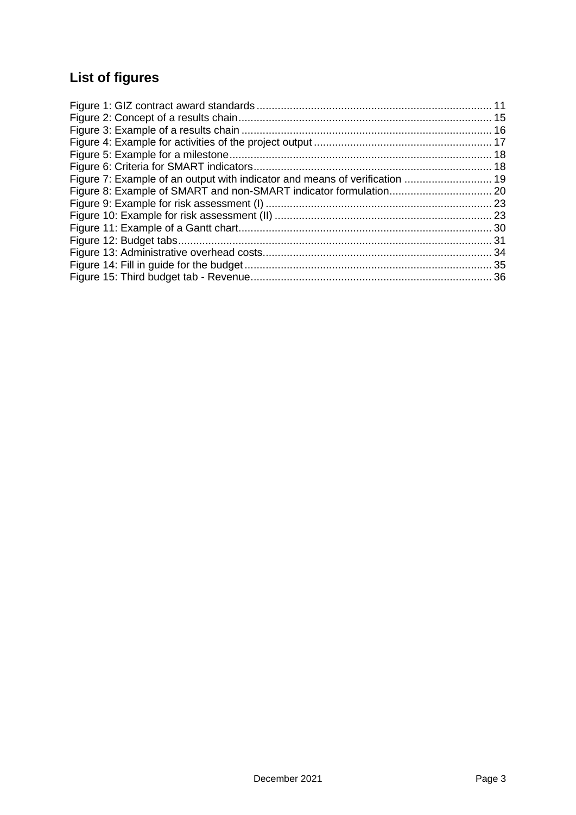# **List of figures**

| Figure 7: Example of an output with indicator and means of verification  19 |  |
|-----------------------------------------------------------------------------|--|
|                                                                             |  |
|                                                                             |  |
|                                                                             |  |
|                                                                             |  |
|                                                                             |  |
|                                                                             |  |
|                                                                             |  |
|                                                                             |  |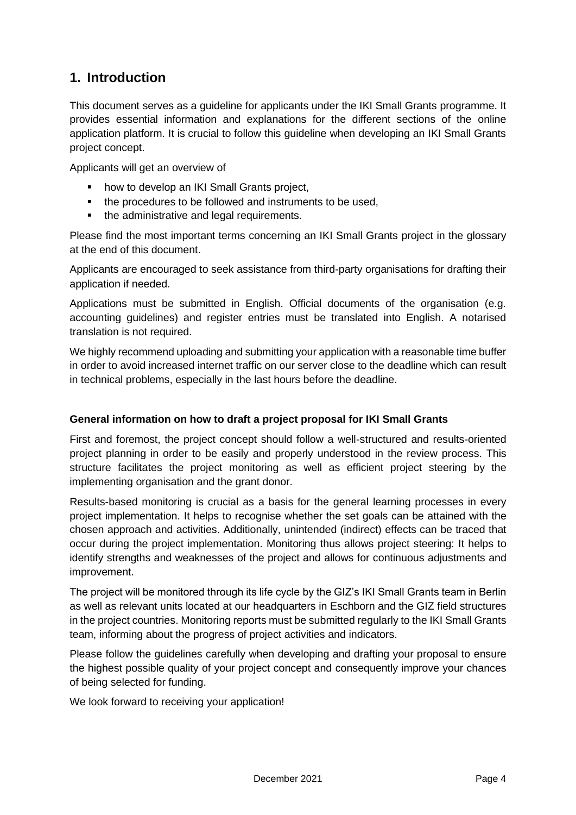# <span id="page-4-0"></span>**1. Introduction**

This document serves as a guideline for applicants under the IKI Small Grants programme. It provides essential information and explanations for the different sections of the online application platform. It is crucial to follow this guideline when developing an IKI Small Grants project concept.

Applicants will get an overview of

- how to develop an IKI Small Grants project,
- the procedures to be followed and instruments to be used,
- the administrative and legal requirements.

Please find the most important terms concerning an IKI Small Grants project in the glossary at the end of this document.

Applicants are encouraged to seek assistance from third-party organisations for drafting their application if needed.

Applications must be submitted in English. Official documents of the organisation (e.g. accounting guidelines) and register entries must be translated into English. A notarised translation is not required.

We highly recommend uploading and submitting your application with a reasonable time buffer in order to avoid increased internet traffic on our server close to the deadline which can result in technical problems, especially in the last hours before the deadline.

#### **General information on how to draft a project proposal for IKI Small Grants**

First and foremost, the project concept should follow a well-structured and results-oriented project planning in order to be easily and properly understood in the review process. This structure facilitates the project monitoring as well as efficient project steering by the implementing organisation and the grant donor.

Results-based monitoring is crucial as a basis for the general learning processes in every project implementation. It helps to recognise whether the set goals can be attained with the chosen approach and activities. Additionally, unintended (indirect) effects can be traced that occur during the project implementation. Monitoring thus allows project steering: It helps to identify strengths and weaknesses of the project and allows for continuous adjustments and improvement.

The project will be monitored through its life cycle by the GIZ's IKI Small Grants team in Berlin as well as relevant units located at our headquarters in Eschborn and the GIZ field structures in the project countries. Monitoring reports must be submitted regularly to the IKI Small Grants team, informing about the progress of project activities and indicators.

Please follow the guidelines carefully when developing and drafting your proposal to ensure the highest possible quality of your project concept and consequently improve your chances of being selected for funding.

We look forward to receiving your application!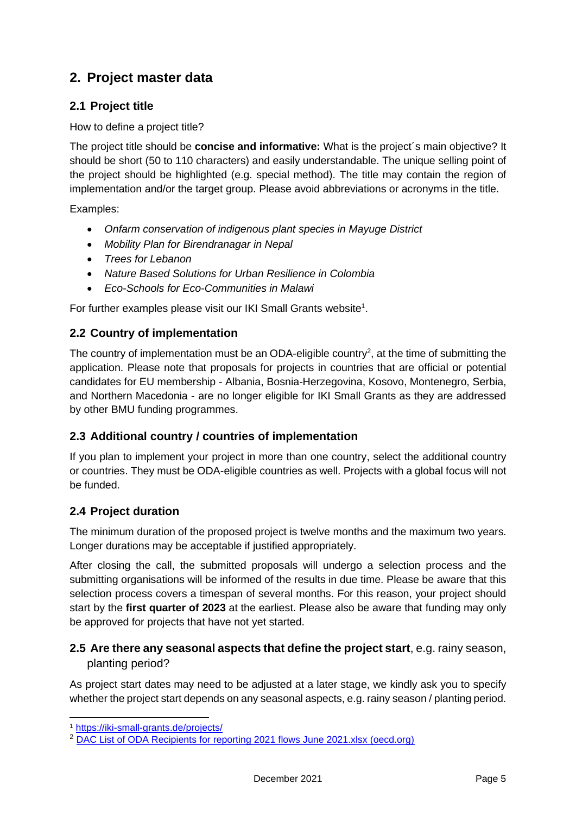# <span id="page-5-0"></span>**2. Project master data**

# <span id="page-5-1"></span>**2.1 Project title**

How to define a project title?

The project title should be **concise and informative:** What is the project´s main objective? It should be short (50 to 110 characters) and easily understandable. The unique selling point of the project should be highlighted (e.g. special method). The title may contain the region of implementation and/or the target group. Please avoid abbreviations or acronyms in the title.

Examples:

- *Onfarm conservation of indigenous plant species in Mayuge District*
- *Mobility Plan for Birendranagar in Nepal*
- *Trees for Lebanon*
- *Nature Based Solutions for Urban Resilience in Colombia*
- *Eco-Schools for Eco-Communities in Malawi*

<span id="page-5-2"></span>For further examples please visit our IKI Small Grants website<sup>1</sup>.

# **2.2 Country of implementation**

The country of implementation must be an ODA-eligible country<sup>2</sup>, at the time of submitting the application. Please note that proposals for projects in countries that are official or potential candidates for EU membership - Albania, Bosnia-Herzegovina, Kosovo, Montenegro, Serbia, and Northern Macedonia - are no longer eligible for IKI Small Grants as they are addressed by other BMU funding programmes.

# <span id="page-5-3"></span>**2.3 Additional country / countries of implementation**

If you plan to implement your project in more than one country, select the additional country or countries. They must be ODA-eligible countries as well. Projects with a global focus will not be funded.

# <span id="page-5-4"></span>**2.4 Project duration**

The minimum duration of the proposed project is twelve months and the maximum two years. Longer durations may be acceptable if justified appropriately.

After closing the call, the submitted proposals will undergo a selection process and the submitting organisations will be informed of the results in due time. Please be aware that this selection process covers a timespan of several months. For this reason, your project should start by the **first quarter of 2023** at the earliest. Please also be aware that funding may only be approved for projects that have not yet started.

# <span id="page-5-5"></span>**2.5 Are there any seasonal aspects that define the project start**, e.g. rainy season, planting period?

As project start dates may need to be adjusted at a later stage, we kindly ask you to specify whether the project start depends on any seasonal aspects, e.g. rainy season / planting period.

<sup>1</sup> <https://iki-small-grants.de/projects/>

<sup>&</sup>lt;sup>2</sup> [DAC List of ODA Recipients for reporting 2021 flows June 2021.xlsx \(oecd.org\)](https://www.oecd.org/dac/financing-sustainable-development/development-finance-standards/DAC-List-ODA-Recipients-for-reporting-2021-flows.pdf)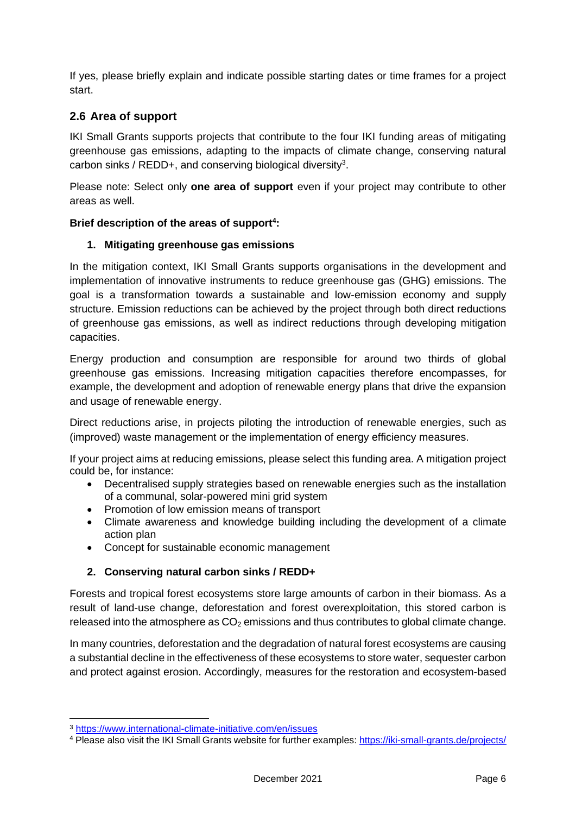If yes, please briefly explain and indicate possible starting dates or time frames for a project start.

# <span id="page-6-0"></span>**2.6 Area of support**

IKI Small Grants supports projects that contribute to the four IKI funding areas of mitigating greenhouse gas emissions, adapting to the impacts of climate change, conserving natural carbon sinks / REDD+, and conserving biological diversity<sup>3</sup>.

Please note: Select only **one area of support** even if your project may contribute to other areas as well.

### **Brief description of the areas of support<sup>4</sup> :**

### **1. Mitigating greenhouse gas emissions**

In the mitigation context, IKI Small Grants supports organisations in the development and implementation of innovative instruments to reduce greenhouse gas (GHG) emissions. The goal is a transformation towards a sustainable and low-emission economy and supply structure. Emission reductions can be achieved by the project through both direct reductions of greenhouse gas emissions, as well as indirect reductions through developing mitigation capacities.

Energy production and consumption are responsible for around two thirds of global greenhouse gas emissions. Increasing mitigation capacities therefore encompasses, for example, the development and adoption of renewable energy plans that drive the expansion and usage of renewable energy.

Direct reductions arise, in projects piloting the introduction of renewable energies, such as (improved) waste management or the implementation of energy efficiency measures.

If your project aims at reducing emissions, please select this funding area. A mitigation project could be, for instance:

- Decentralised supply strategies based on renewable energies such as the installation of a communal, solar-powered mini grid system
- Promotion of low emission means of transport
- Climate awareness and knowledge building including the development of a climate action plan
- Concept for sustainable economic management

### **2. Conserving natural carbon sinks / REDD+**

Forests and tropical forest ecosystems store large amounts of carbon in their biomass. As a result of land-use change, deforestation and forest overexploitation, this stored carbon is released into the atmosphere as  $CO<sub>2</sub>$  emissions and thus contributes to global climate change.

In many countries, deforestation and the degradation of natural forest ecosystems are causing a substantial decline in the effectiveness of these ecosystems to store water, sequester carbon and protect against erosion. Accordingly, measures for the restoration and ecosystem-based

<sup>3</sup> <https://www.international-climate-initiative.com/en/issues>

<sup>4</sup> Please also visit the IKI Small Grants website for further examples:<https://iki-small-grants.de/projects/>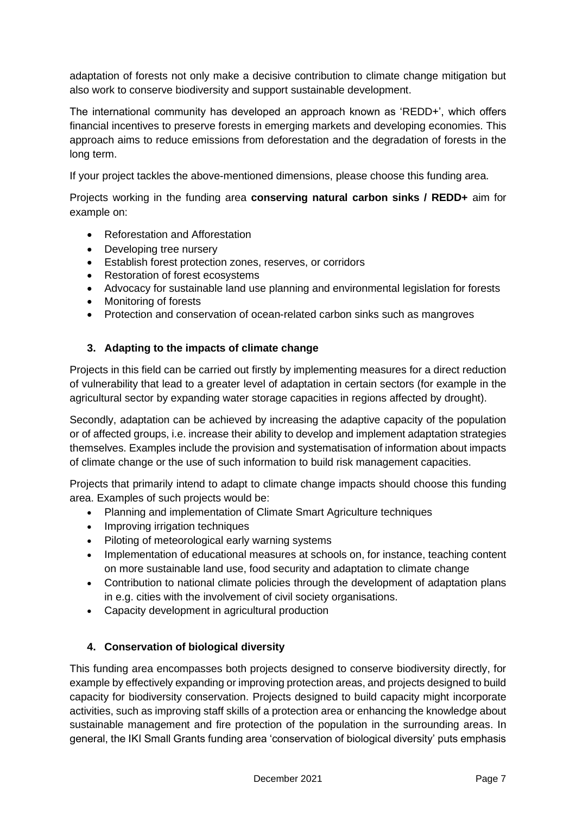adaptation of forests not only make a decisive contribution to climate change mitigation but also work to conserve biodiversity and support sustainable development.

The international community has developed an approach known as 'REDD+', which offers financial incentives to preserve forests in emerging markets and developing economies. This approach aims to reduce emissions from deforestation and the degradation of forests in the long term.

If your project tackles the above-mentioned dimensions, please choose this funding area.

Projects working in the funding area **conserving natural carbon sinks / REDD+** aim for example on:

- Reforestation and Afforestation
- Developing tree nursery
- Establish forest protection zones, reserves, or corridors
- Restoration of forest ecosystems
- Advocacy for sustainable land use planning and environmental legislation for forests
- Monitoring of forests
- Protection and conservation of ocean-related carbon sinks such as mangroves

### **3. Adapting to the impacts of climate change**

Projects in this field can be carried out firstly by implementing measures for a direct reduction of vulnerability that lead to a greater level of adaptation in certain sectors (for example in the agricultural sector by expanding water storage capacities in regions affected by drought).

Secondly, adaptation can be achieved by increasing the adaptive capacity of the population or of affected groups, i.e. increase their ability to develop and implement adaptation strategies themselves. Examples include the provision and systematisation of information about impacts of climate change or the use of such information to build risk management capacities.

Projects that primarily intend to adapt to climate change impacts should choose this funding area. Examples of such projects would be:

- Planning and implementation of Climate Smart Agriculture techniques
- Improving irrigation techniques
- Piloting of meteorological early warning systems
- Implementation of educational measures at schools on, for instance, teaching content on more sustainable land use, food security and adaptation to climate change
- Contribution to national climate policies through the development of adaptation plans in e.g. cities with the involvement of civil society organisations.
- Capacity development in agricultural production

### **4. Conservation of biological diversity**

This funding area encompasses both projects designed to conserve biodiversity directly, for example by effectively expanding or improving protection areas, and projects designed to build capacity for biodiversity conservation. Projects designed to build capacity might incorporate activities, such as improving staff skills of a protection area or enhancing the knowledge about sustainable management and fire protection of the population in the surrounding areas. In general, the IKI Small Grants funding area 'conservation of biological diversity' puts emphasis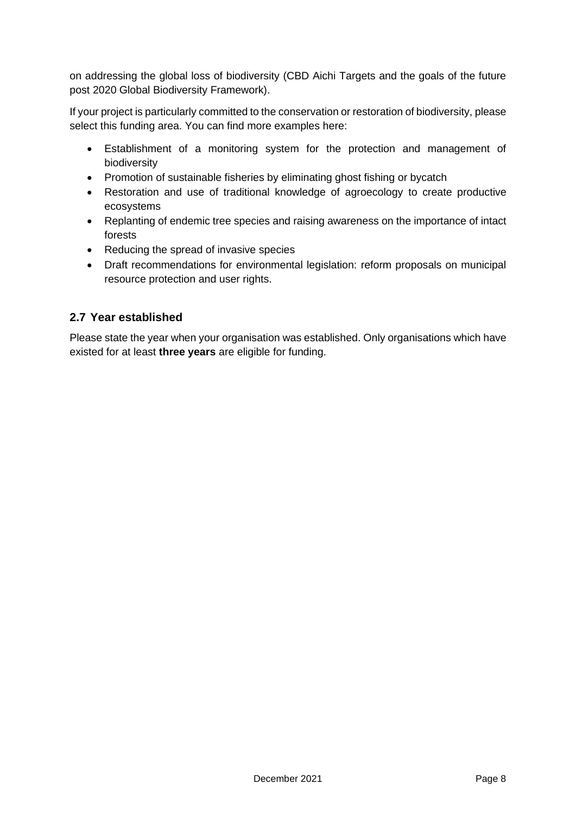on addressing the global loss of biodiversity (CBD Aichi Targets and the goals of the future post 2020 Global Biodiversity Framework).

If your project is particularly committed to the conservation or restoration of biodiversity, please select this funding area. You can find more examples here:

- Establishment of a monitoring system for the protection and management of biodiversity
- Promotion of sustainable fisheries by eliminating ghost fishing or bycatch
- Restoration and use of traditional knowledge of agroecology to create productive ecosystems
- Replanting of endemic tree species and raising awareness on the importance of intact forests
- Reducing the spread of invasive species
- Draft recommendations for environmental legislation: reform proposals on municipal resource protection and user rights.

# <span id="page-8-0"></span>**2.7 Year established**

Please state the year when your organisation was established. Only organisations which have existed for at least **three years** are eligible for funding.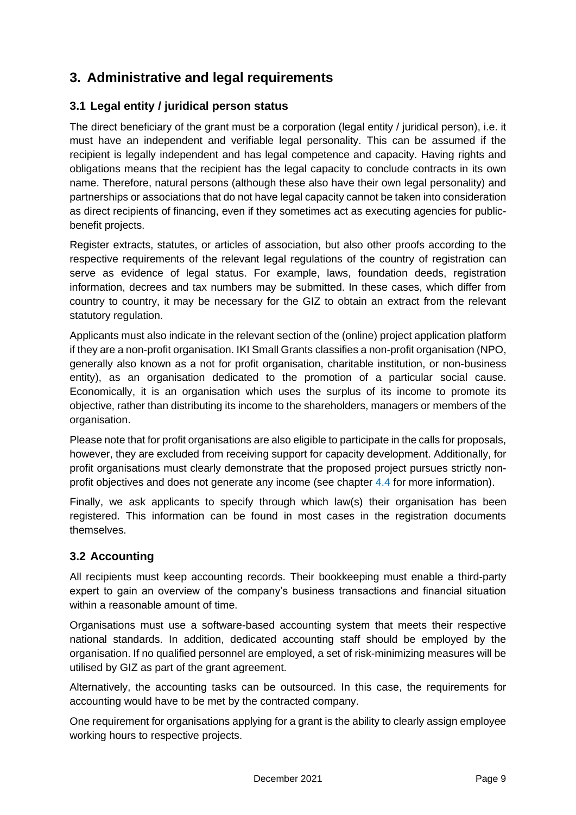# <span id="page-9-0"></span>**3. Administrative and legal requirements**

# <span id="page-9-1"></span>**3.1 Legal entity / juridical person status**

The direct beneficiary of the grant must be a corporation (legal entity / juridical person), i.e. it must have an independent and verifiable legal personality. This can be assumed if the recipient is legally independent and has legal competence and capacity. Having rights and obligations means that the recipient has the legal capacity to conclude contracts in its own name. Therefore, natural persons (although these also have their own legal personality) and partnerships or associations that do not have legal capacity cannot be taken into consideration as direct recipients of financing, even if they sometimes act as executing agencies for publicbenefit projects.

Register extracts, statutes, or articles of association, but also other proofs according to the respective requirements of the relevant legal regulations of the country of registration can serve as evidence of legal status. For example, laws, foundation deeds, registration information, decrees and tax numbers may be submitted. In these cases, which differ from country to country, it may be necessary for the GIZ to obtain an extract from the relevant statutory regulation.

Applicants must also indicate in the relevant section of the (online) project application platform if they are a non-profit organisation. IKI Small Grants classifies a non-profit organisation (NPO, generally also known as a not for profit organisation, charitable institution, or non-business entity), as an organisation dedicated to the promotion of a particular social cause. Economically, it is an organisation which uses the surplus of its income to promote its objective, rather than distributing its income to the shareholders, managers or members of the organisation.

Please note that for profit organisations are also eligible to participate in the calls for proposals, however, they are excluded from receiving support for capacity development. Additionally, for profit organisations must clearly demonstrate that the proposed project pursues strictly nonprofit objectives and does not generate any income (see chapter [4.4](#page-12-5) for more information).

Finally, we ask applicants to specify through which law(s) their organisation has been registered. This information can be found in most cases in the registration documents themselves.

# <span id="page-9-2"></span>**3.2 Accounting**

All recipients must keep accounting records. Their bookkeeping must enable a third-party expert to gain an overview of the company's business transactions and financial situation within a reasonable amount of time.

Organisations must use a software-based accounting system that meets their respective national standards. In addition, dedicated accounting staff should be employed by the organisation. If no qualified personnel are employed, a set of risk-minimizing measures will be utilised by GIZ as part of the grant agreement.

Alternatively, the accounting tasks can be outsourced. In this case, the requirements for accounting would have to be met by the contracted company.

One requirement for organisations applying for a grant is the ability to clearly assign employee working hours to respective projects.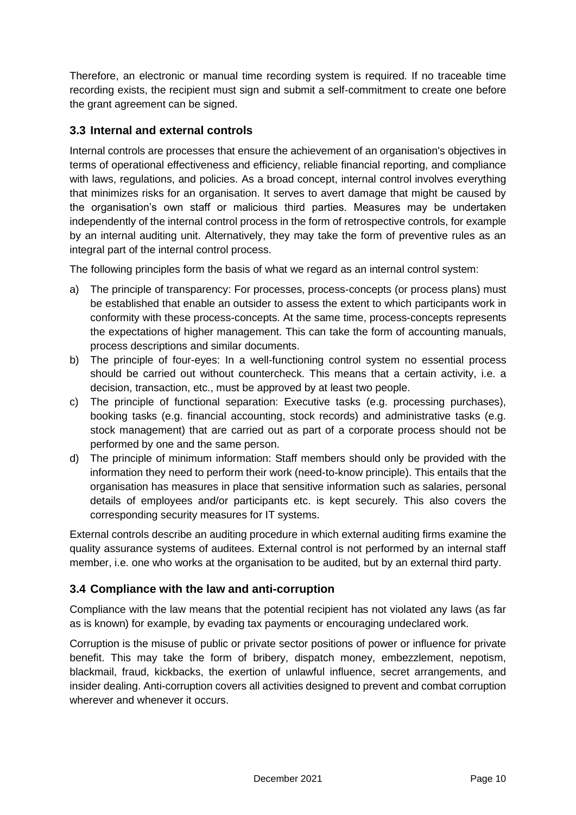Therefore, an electronic or manual time recording system is required. If no traceable time recording exists, the recipient must sign and submit a self-commitment to create one before the grant agreement can be signed.

# <span id="page-10-0"></span>**3.3 Internal and external controls**

Internal controls are processes that ensure the achievement of an organisation's objectives in terms of operational effectiveness and efficiency, reliable financial reporting, and compliance with laws, regulations, and policies. As a broad concept, internal control involves everything that minimizes risks for an organisation. It serves to avert damage that might be caused by the organisation's own staff or malicious third parties. Measures may be undertaken independently of the internal control process in the form of retrospective controls, for example by an internal auditing unit. Alternatively, they may take the form of preventive rules as an integral part of the internal control process.

The following principles form the basis of what we regard as an internal control system:

- a) The principle of transparency: For processes, process-concepts (or process plans) must be established that enable an outsider to assess the extent to which participants work in conformity with these process-concepts. At the same time, process-concepts represents the expectations of higher management. This can take the form of accounting manuals, process descriptions and similar documents.
- b) The principle of four-eyes: In a well-functioning control system no essential process should be carried out without countercheck. This means that a certain activity, i.e. a decision, transaction, etc., must be approved by at least two people.
- c) The principle of functional separation: Executive tasks (e.g. processing purchases), booking tasks (e.g. financial accounting, stock records) and administrative tasks (e.g. stock management) that are carried out as part of a corporate process should not be performed by one and the same person.
- d) The principle of minimum information: Staff members should only be provided with the information they need to perform their work (need-to-know principle). This entails that the organisation has measures in place that sensitive information such as salaries, personal details of employees and/or participants etc. is kept securely. This also covers the corresponding security measures for IT systems.

External controls describe an auditing procedure in which external auditing firms examine the quality assurance systems of auditees. External control is not performed by an internal staff member, i.e. one who works at the organisation to be audited, but by an external third party.

# <span id="page-10-1"></span>**3.4 Compliance with the law and anti-corruption**

Compliance with the law means that the potential recipient has not violated any laws (as far as is known) for example, by evading tax payments or encouraging undeclared work.

Corruption is the misuse of public or private sector positions of power or influence for private benefit. This may take the form of bribery, dispatch money, embezzlement, nepotism, blackmail, fraud, kickbacks, the exertion of unlawful influence, secret arrangements, and insider dealing. Anti-corruption covers all activities designed to prevent and combat corruption wherever and whenever it occurs.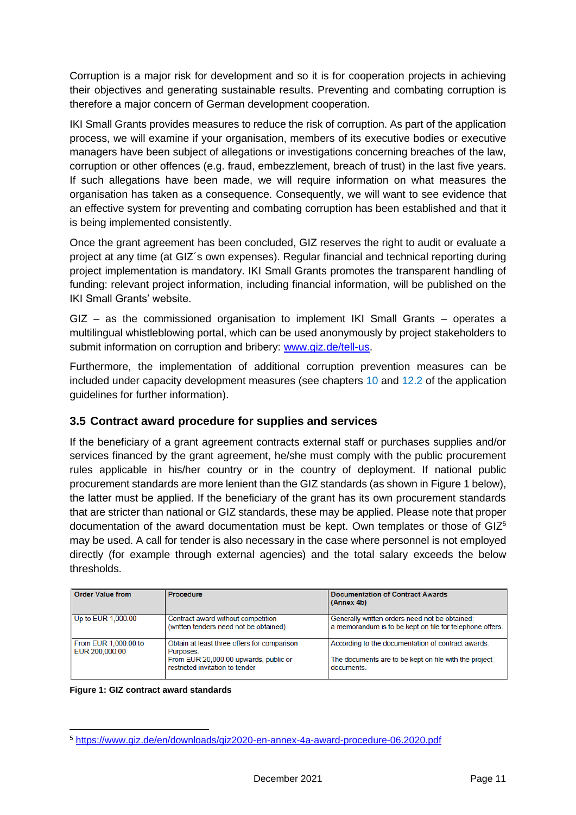Corruption is a major risk for development and so it is for cooperation projects in achieving their objectives and generating sustainable results. Preventing and combating corruption is therefore a major concern of German development cooperation.

IKI Small Grants provides measures to reduce the risk of corruption. As part of the application process, we will examine if your organisation, members of its executive bodies or executive managers have been subject of allegations or investigations concerning breaches of the law, corruption or other offences (e.g. fraud, embezzlement, breach of trust) in the last five years. If such allegations have been made, we will require information on what measures the organisation has taken as a consequence. Consequently, we will want to see evidence that an effective system for preventing and combating corruption has been established and that it is being implemented consistently.

Once the grant agreement has been concluded, GIZ reserves the right to audit or evaluate a project at any time (at GIZ´s own expenses). Regular financial and technical reporting during project implementation is mandatory. IKI Small Grants promotes the transparent handling of funding: relevant project information, including financial information, will be published on the IKI Small Grants' website.

GIZ – as the commissioned organisation to implement IKI Small Grants – operates a multilingual whistleblowing portal, which can be used anonymously by project stakeholders to submit information on corruption and bribery: [www.giz.de/tell-us.](file:///C:/Users/admin/AppData/Local/Temp/www.giz.de/tell-us)

Furthermore, the implementation of additional corruption prevention measures can be included under capacity development measures (see chapters [10](#page-28-0) and [12.2](#page-35-0) of the application guidelines for further information).

# <span id="page-11-2"></span><span id="page-11-0"></span>**3.5 Contract award procedure for supplies and services**

If the beneficiary of a grant agreement contracts external staff or purchases supplies and/or services financed by the grant agreement, he/she must comply with the public procurement rules applicable in his/her country or in the country of deployment. If national public procurement standards are more lenient than the GIZ standards (as shown in [Figure 1](#page-11-1) below), the latter must be applied. If the beneficiary of the grant has its own procurement standards that are stricter than national or GIZ standards, these may be applied. Please note that proper documentation of the award documentation must be kept. Own templates or those of  $GIZ<sup>5</sup>$ may be used. A call for tender is also necessary in the case where personnel is not employed directly (for example through external agencies) and the total salary exceeds the below thresholds.

| <b>Order Value from</b>                 | Procedure                                                                                                                            | <b>Documentation of Contract Awards</b><br>(Annex 4b)                                                                     |
|-----------------------------------------|--------------------------------------------------------------------------------------------------------------------------------------|---------------------------------------------------------------------------------------------------------------------------|
| Up to EUR 1,000.00                      | Contract award without competition<br>(written tenders need not be obtained)                                                         | Generally written orders need not be obtained;<br>a memorandum is to be kept on file for telephone offers.                |
| From EUR 1,000.00 to<br>LEUR 200,000.00 | Obtain at least three offers for comparison<br>Purposes.<br>From EUR 20,000.00 upwards, public or<br>restricted invitation to tender | According to the documentation of contract awards.<br>The documents are to be kept on file with the project<br>documents. |

<span id="page-11-1"></span>**Figure 1: GIZ contract award standards**

<sup>5</sup> <https://www.giz.de/en/downloads/giz2020-en-annex-4a-award-procedure-06.2020.pdf>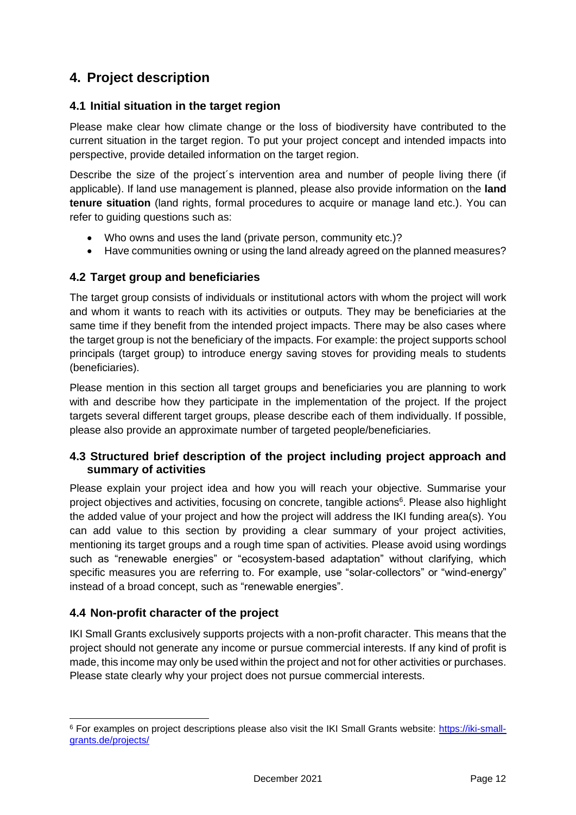# <span id="page-12-0"></span>**4. Project description**

# <span id="page-12-1"></span>**4.1 Initial situation in the target region**

Please make clear how climate change or the loss of biodiversity have contributed to the current situation in the target region. To put your project concept and intended impacts into perspective, provide detailed information on the target region.

Describe the size of the project´s intervention area and number of people living there (if applicable). If land use management is planned, please also provide information on the **land tenure situation** (land rights, formal procedures to acquire or manage land etc.). You can refer to guiding questions such as:

- Who owns and uses the land (private person, community etc.)?
- <span id="page-12-2"></span>• Have communities owning or using the land already agreed on the planned measures?

# **4.2 Target group and beneficiaries**

The target group consists of individuals or institutional actors with whom the project will work and whom it wants to reach with its activities or outputs. They may be beneficiaries at the same time if they benefit from the intended project impacts. There may be also cases where the target group is not the beneficiary of the impacts. For example: the project supports school principals (target group) to introduce energy saving stoves for providing meals to students (beneficiaries).

Please mention in this section all target groups and beneficiaries you are planning to work with and describe how they participate in the implementation of the project. If the project targets several different target groups, please describe each of them individually. If possible, please also provide an approximate number of targeted people/beneficiaries.

# <span id="page-12-3"></span>**4.3 Structured brief description of the project including project approach and summary of activities**

Please explain your project idea and how you will reach your objective. Summarise your project objectives and activities, focusing on concrete, tangible actions<sup>6</sup>. Please also highlight the added value of your project and how the project will address the IKI funding area(s). You can add value to this section by providing a clear summary of your project activities, mentioning its target groups and a rough time span of activities. Please avoid using wordings such as "renewable energies" or "ecosystem-based adaptation" without clarifying, which specific measures you are referring to. For example, use "solar-collectors" or "wind-energy" instead of a broad concept, such as "renewable energies".

# <span id="page-12-5"></span><span id="page-12-4"></span>**4.4 Non-profit character of the project**

IKI Small Grants exclusively supports projects with a non-profit character. This means that the project should not generate any income or pursue commercial interests. If any kind of profit is made, this income may only be used within the project and not for other activities or purchases. Please state clearly why your project does not pursue commercial interests.

<sup>6</sup> For examples on project descriptions please also visit the IKI Small Grants website: [https://iki-small](https://iki-small-grants.de/projects/)[grants.de/projects/](https://iki-small-grants.de/projects/)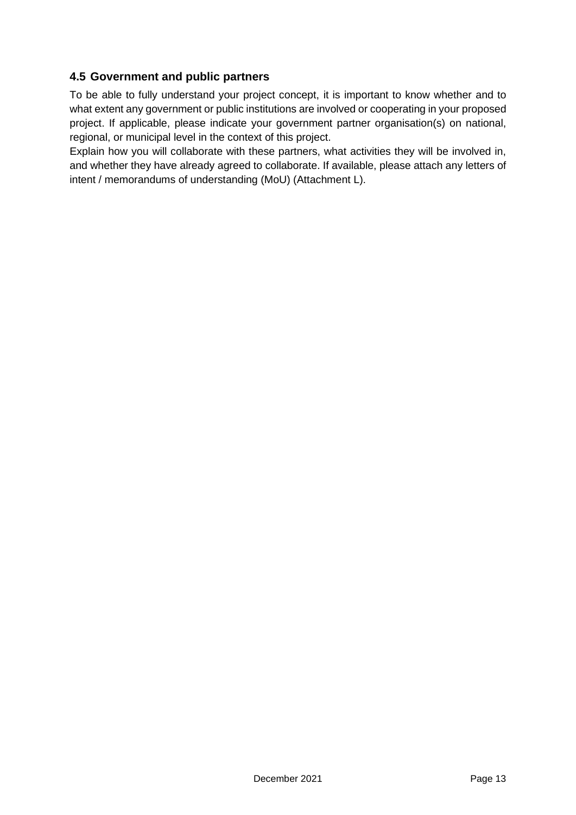# <span id="page-13-0"></span>**4.5 Government and public partners**

To be able to fully understand your project concept, it is important to know whether and to what extent any government or public institutions are involved or cooperating in your proposed project. If applicable, please indicate your government partner organisation(s) on national, regional, or municipal level in the context of this project.

Explain how you will collaborate with these partners, what activities they will be involved in, and whether they have already agreed to collaborate. If available, please attach any letters of intent / memorandums of understanding (MoU) (Attachment L).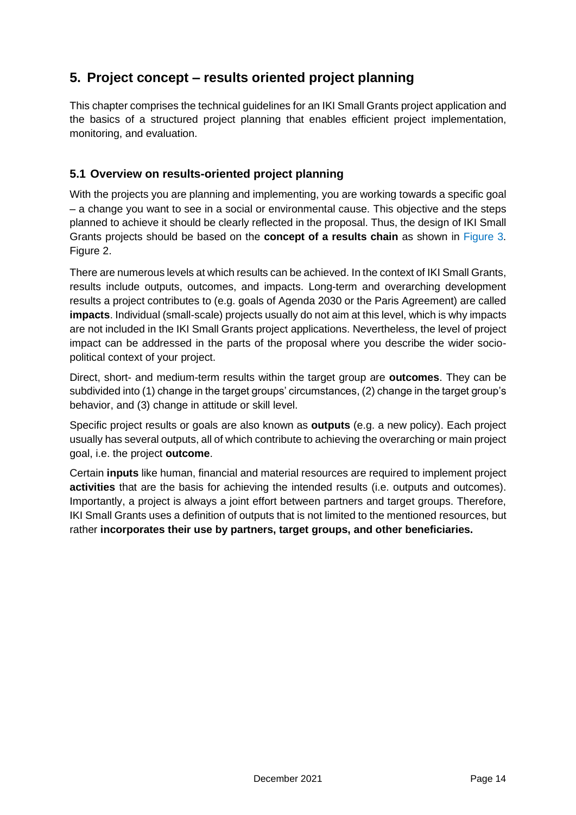# <span id="page-14-0"></span>**5. Project concept – results oriented project planning**

This chapter comprises the technical guidelines for an IKI Small Grants project application and the basics of a structured project planning that enables efficient project implementation, monitoring, and evaluation.

# <span id="page-14-1"></span>**5.1 Overview on results-oriented project planning**

With the projects you are planning and implementing, you are working towards a specific goal – a change you want to see in a social or environmental cause. This objective and the steps planned to achieve it should be clearly reflected in the proposal. Thus, the design of IKI Small Grants projects should be based on the **concept of a results chain** as shown in [Figure](#page-16-0) 3. [Figure 2.](#page-15-1)

There are numerous levels at which results can be achieved. In the context of IKI Small Grants, results include outputs, outcomes, and impacts. Long-term and overarching development results a project contributes to (e.g. goals of Agenda 2030 or the Paris Agreement) are called **impacts**. Individual (small-scale) projects usually do not aim at this level, which is why impacts are not included in the IKI Small Grants project applications. Nevertheless, the level of project impact can be addressed in the parts of the proposal where you describe the wider sociopolitical context of your project.

Direct, short- and medium-term results within the target group are **outcomes**. They can be subdivided into (1) change in the target groups' circumstances, (2) change in the target group's behavior, and (3) change in attitude or skill level.

Specific project results or goals are also known as **outputs** (e.g. a new policy). Each project usually has several outputs, all of which contribute to achieving the overarching or main project goal, i.e. the project **outcome**.

Certain **inputs** like human, financial and material resources are required to implement project **activities** that are the basis for achieving the intended results (i.e. outputs and outcomes). Importantly, a project is always a joint effort between partners and target groups. Therefore, IKI Small Grants uses a definition of outputs that is not limited to the mentioned resources, but rather **incorporates their use by partners, target groups, and other beneficiaries.**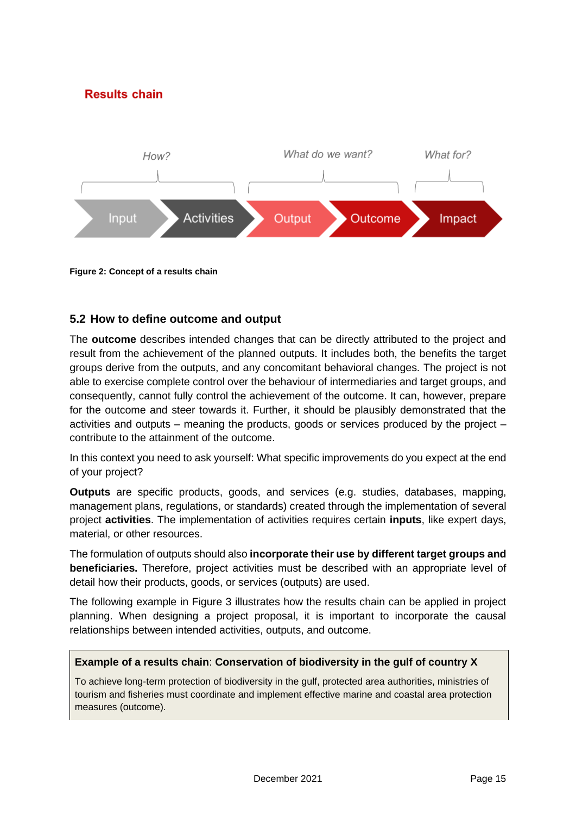# **Results chain**



<span id="page-15-1"></span>**Figure 2: Concept of a results chain**

### <span id="page-15-0"></span>**5.2 How to define outcome and output**

The **outcome** describes intended changes that can be directly attributed to the project and result from the achievement of the planned outputs. It includes both, the benefits the target groups derive from the outputs, and any concomitant behavioral changes. The project is not able to exercise complete control over the behaviour of intermediaries and target groups, and consequently, cannot fully control the achievement of the outcome. It can, however, prepare for the outcome and steer towards it. Further, it should be plausibly demonstrated that the activities and outputs – meaning the products, goods or services produced by the project – contribute to the attainment of the outcome.

In this context you need to ask yourself: What specific improvements do you expect at the end of your project?

**Outputs** are specific products, goods, and services (e.g. studies, databases, mapping, management plans, regulations, or standards) created through the implementation of several project **activities**. The implementation of activities requires certain **inputs**, like expert days, material, or other resources.

The formulation of outputs should also **incorporate their use by different target groups and beneficiaries.** Therefore, project activities must be described with an appropriate level of detail how their products, goods, or services (outputs) are used.

The following example in [Figure](#page-16-0) 3 illustrates how the results chain can be applied in project planning. When designing a project proposal, it is important to incorporate the causal relationships between intended activities, outputs, and outcome.

#### **Example of a results chain**: **Conservation of biodiversity in the gulf of country X**

To achieve long-term protection of biodiversity in the gulf, protected area authorities, ministries of tourism and fisheries must coordinate and implement effective marine and coastal area protection measures (outcome).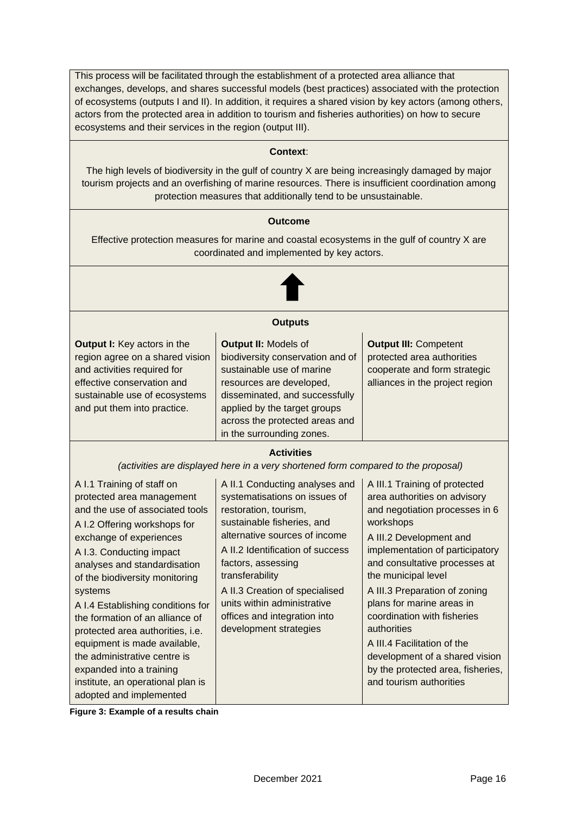This process will be facilitated through the establishment of a protected area alliance that exchanges, develops, and shares successful models (best practices) associated with the protection of ecosystems (outputs I and II). In addition, it requires a shared vision by key actors (among others, actors from the protected area in addition to tourism and fisheries authorities) on how to secure ecosystems and their services in the region (output III).

#### **Context**:

The high levels of biodiversity in the gulf of country X are being increasingly damaged by major tourism projects and an overfishing of marine resources. There is insufficient coordination among protection measures that additionally tend to be unsustainable.

#### **Outcome**

Effective protection measures for marine and coastal ecosystems in the gulf of country X are coordinated and implemented by key actors.



#### **Outputs**

| <b>Output I:</b> Key actors in the<br>region agree on a shared vision<br>and activities required for<br>effective conservation and<br>sustainable use of ecosystems<br>and put them into practice. | <b>Output II: Models of</b><br>biodiversity conservation and of<br>sustainable use of marine<br>resources are developed,<br>disseminated, and successfully<br>applied by the target groups<br>across the protected areas and | <b>Output III: Competent</b><br>protected area authorities<br>cooperate and form strategic<br>alliances in the project region |
|----------------------------------------------------------------------------------------------------------------------------------------------------------------------------------------------------|------------------------------------------------------------------------------------------------------------------------------------------------------------------------------------------------------------------------------|-------------------------------------------------------------------------------------------------------------------------------|
|                                                                                                                                                                                                    | in the surrounding zones.                                                                                                                                                                                                    |                                                                                                                               |

#### **Activities**

*(activities are displayed here in a very shortened form compared to the proposal)*

| A I.1 Training of staff on<br>protected area management<br>and the use of associated tools<br>A I.2 Offering workshops for<br>exchange of experiences<br>A I.3. Conducting impact<br>analyses and standardisation<br>of the biodiversity monitoring<br>systems<br>A I.4 Establishing conditions for<br>the formation of an alliance of<br>protected area authorities, i.e.<br>equipment is made available,<br>the administrative centre is<br>expanded into a training<br>institute, an operational plan is<br>adopted and implemented | A II.1 Conducting analyses and<br>systematisations on issues of<br>restoration, tourism,<br>sustainable fisheries, and<br>alternative sources of income<br>A II.2 Identification of success<br>factors, assessing<br>transferability<br>A II.3 Creation of specialised<br>units within administrative<br>offices and integration into<br>development strategies | A III.1 Training of protected<br>area authorities on advisory<br>and negotiation processes in 6<br>workshops<br>A III.2 Development and<br>implementation of participatory<br>and consultative processes at<br>the municipal level<br>A III.3 Preparation of zoning<br>plans for marine areas in<br>coordination with fisheries<br>authorities<br>A III.4 Facilitation of the<br>development of a shared vision<br>by the protected area, fisheries,<br>and tourism authorities |
|----------------------------------------------------------------------------------------------------------------------------------------------------------------------------------------------------------------------------------------------------------------------------------------------------------------------------------------------------------------------------------------------------------------------------------------------------------------------------------------------------------------------------------------|-----------------------------------------------------------------------------------------------------------------------------------------------------------------------------------------------------------------------------------------------------------------------------------------------------------------------------------------------------------------|---------------------------------------------------------------------------------------------------------------------------------------------------------------------------------------------------------------------------------------------------------------------------------------------------------------------------------------------------------------------------------------------------------------------------------------------------------------------------------|
|----------------------------------------------------------------------------------------------------------------------------------------------------------------------------------------------------------------------------------------------------------------------------------------------------------------------------------------------------------------------------------------------------------------------------------------------------------------------------------------------------------------------------------------|-----------------------------------------------------------------------------------------------------------------------------------------------------------------------------------------------------------------------------------------------------------------------------------------------------------------------------------------------------------------|---------------------------------------------------------------------------------------------------------------------------------------------------------------------------------------------------------------------------------------------------------------------------------------------------------------------------------------------------------------------------------------------------------------------------------------------------------------------------------|

<span id="page-16-0"></span>**Figure 3: Example of a results chain**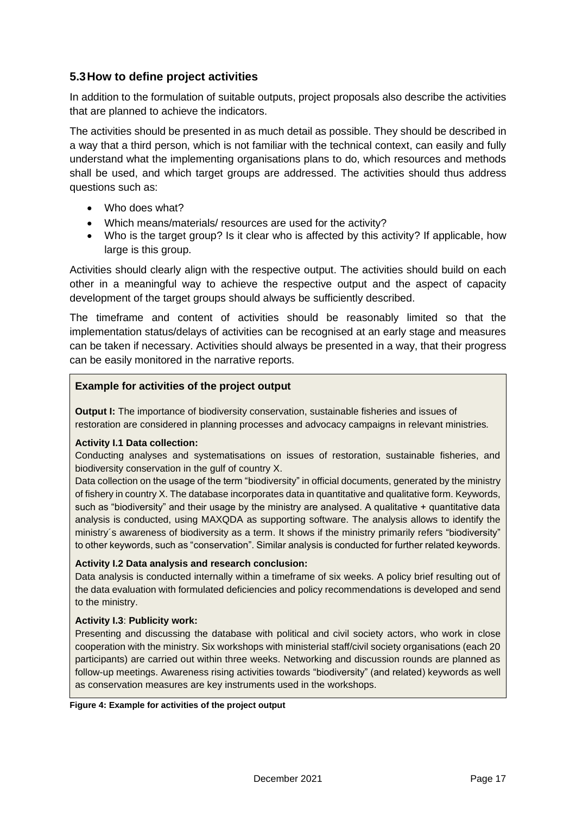# <span id="page-17-0"></span>**5.3How to define project activities**

In addition to the formulation of suitable outputs, project proposals also describe the activities that are planned to achieve the indicators.

The activities should be presented in as much detail as possible. They should be described in a way that a third person, which is not familiar with the technical context, can easily and fully understand what the implementing organisations plans to do, which resources and methods shall be used, and which target groups are addressed. The activities should thus address questions such as:

- Who does what?
- Which means/materials/ resources are used for the activity?
- Who is the target group? Is it clear who is affected by this activity? If applicable, how large is this group.

Activities should clearly align with the respective output. The activities should build on each other in a meaningful way to achieve the respective output and the aspect of capacity development of the target groups should always be sufficiently described.

The timeframe and content of activities should be reasonably limited so that the implementation status/delays of activities can be recognised at an early stage and measures can be taken if necessary. Activities should always be presented in a way, that their progress can be easily monitored in the narrative reports.

#### **Example for activities of the project output**

**Output I:** The importance of biodiversity conservation, sustainable fisheries and issues of restoration are considered in planning processes and advocacy campaigns in relevant ministries*.*

#### **Activity I.1 Data collection:**

Conducting analyses and systematisations on issues of restoration, sustainable fisheries, and biodiversity conservation in the gulf of country X.

Data collection on the usage of the term "biodiversity" in official documents, generated by the ministry of fishery in country X. The database incorporates data in quantitative and qualitative form. Keywords, such as "biodiversity" and their usage by the ministry are analysed. A qualitative  $+$  quantitative data analysis is conducted, using MAXQDA as supporting software. The analysis allows to identify the ministry´s awareness of biodiversity as a term. It shows if the ministry primarily refers "biodiversity" to other keywords, such as "conservation". Similar analysis is conducted for further related keywords.

#### **Activity I.2 Data analysis and research conclusion:**

Data analysis is conducted internally within a timeframe of six weeks. A policy brief resulting out of the data evaluation with formulated deficiencies and policy recommendations is developed and send to the ministry.

#### **Activity I.3**: **Publicity work:**

Presenting and discussing the database with political and civil society actors, who work in close cooperation with the ministry. Six workshops with ministerial staff/civil society organisations (each 20 participants) are carried out within three weeks. Networking and discussion rounds are planned as follow-up meetings. Awareness rising activities towards "biodiversity" (and related) keywords as well as conservation measures are key instruments used in the workshops.

<span id="page-17-1"></span>**Figure 4: Example for activities of the project output**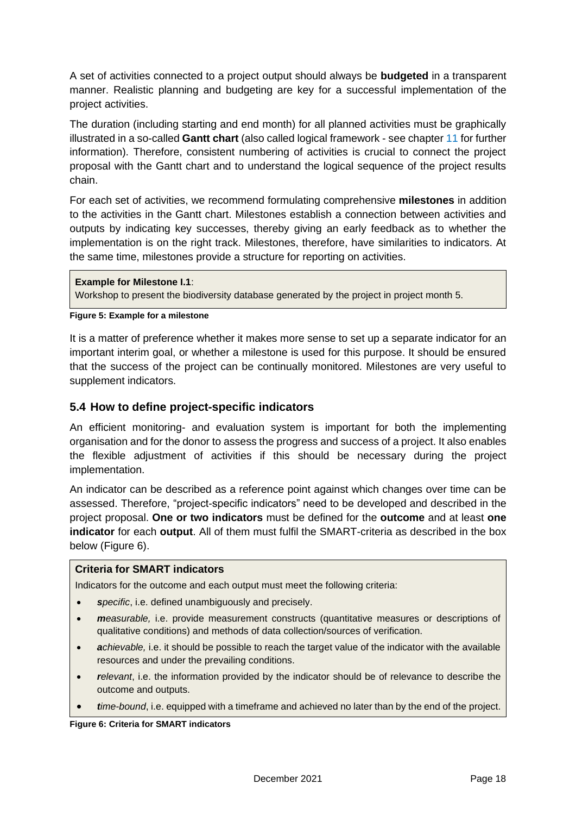A set of activities connected to a project output should always be **budgeted** in a transparent manner. Realistic planning and budgeting are key for a successful implementation of the project activities.

The duration (including starting and end month) for all planned activities must be graphically illustrated in a so-called **Gantt chart** (also called logical framework - see chapter [11](#page-30-0) for further information). Therefore, consistent numbering of activities is crucial to connect the project proposal with the Gantt chart and to understand the logical sequence of the project results chain.

For each set of activities, we recommend formulating comprehensive **milestones** in addition to the activities in the Gantt chart. Milestones establish a connection between activities and outputs by indicating key successes, thereby giving an early feedback as to whether the implementation is on the right track. Milestones, therefore, have similarities to indicators. At the same time, milestones provide a structure for reporting on activities.

#### **Example for Milestone I.1**:

Workshop to present the biodiversity database generated by the project in project month 5.

#### <span id="page-18-1"></span>**Figure 5: Example for a milestone**

It is a matter of preference whether it makes more sense to set up a separate indicator for an important interim goal, or whether a milestone is used for this purpose. It should be ensured that the success of the project can be continually monitored. Milestones are very useful to supplement indicators.

### <span id="page-18-0"></span>**5.4 How to define project-specific indicators**

An efficient monitoring- and evaluation system is important for both the implementing organisation and for the donor to assess the progress and success of a project. It also enables the flexible adjustment of activities if this should be necessary during the project implementation.

An indicator can be described as a reference point against which changes over time can be assessed. Therefore, "project-specific indicators" need to be developed and described in the project proposal. **One or two indicators** must be defined for the **outcome** and at least **one indicator** for each **output**. All of them must fulfil the SMART-criteria as described in the box below [\(Figure 6\)](#page-18-2).

#### **Criteria for SMART indicators**

Indicators for the outcome and each output must meet the following criteria:

- *specific*, i.e. defined unambiguously and precisely.
- *measurable,* i.e. provide measurement constructs (quantitative measures or descriptions of qualitative conditions) and methods of data collection/sources of verification.
- *achievable,* i.e. it should be possible to reach the target value of the indicator with the available resources and under the prevailing conditions.
- *relevant*, i.e. the information provided by the indicator should be of relevance to describe the outcome and outputs.
- *time-bound*, i.e. equipped with a timeframe and achieved no later than by the end of the project.

<span id="page-18-2"></span>**Figure 6: Criteria for SMART indicators**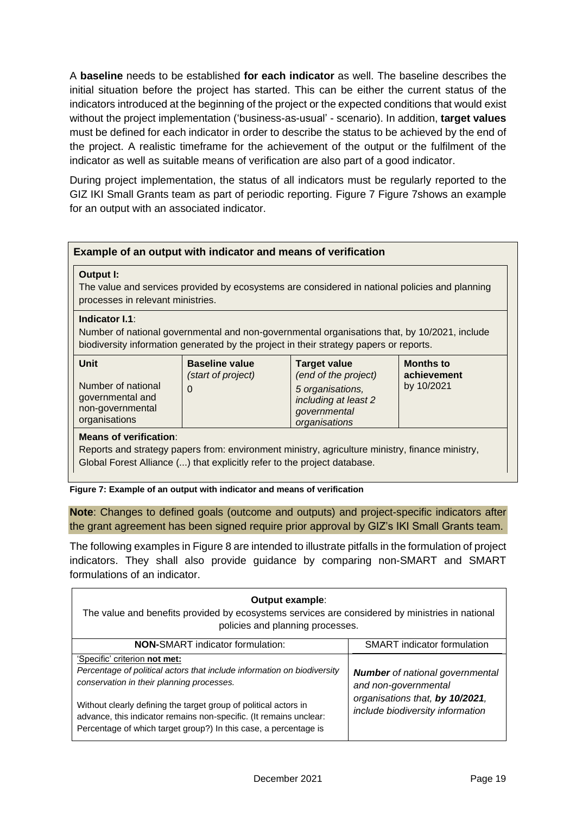A **baseline** needs to be established **for each indicator** as well. The baseline describes the initial situation before the project has started. This can be either the current status of the indicators introduced at the beginning of the project or the expected conditions that would exist without the project implementation ('business-as-usual' - scenario). In addition, **target values** must be defined for each indicator in order to describe the status to be achieved by the end of the project. A realistic timeframe for the achievement of the output or the fulfilment of the indicator as well as suitable means of verification are also part of a good indicator.

During project implementation, the status of all indicators must be regularly reported to the GIZ IKI Small Grants team as part of periodic reporting. [Figure](#page-19-0) 7 [Figure](#page-19-0) 7shows an example for an output with an associated indicator.

#### **Example of an output with indicator and means of verification**

#### **Output I:**

The value and services provided by ecosystems are considered in national policies and planning processes in relevant ministries.

#### **Indicator I.1**:

Number of national governmental and non-governmental organisations that, by 10/2021, include biodiversity information generated by the project in their strategy papers or reports.

| <b>Unit</b><br>Number of national<br>governmental and<br>non-governmental<br>organisations | <b>Baseline value</b><br>(start of project)<br>0 | <b>Target value</b><br>(end of the project)<br>5 organisations,<br>including at least 2<br>governmental<br>organisations | <b>Months to</b><br>achievement<br>by 10/2021 |
|--------------------------------------------------------------------------------------------|--------------------------------------------------|--------------------------------------------------------------------------------------------------------------------------|-----------------------------------------------|
|--------------------------------------------------------------------------------------------|--------------------------------------------------|--------------------------------------------------------------------------------------------------------------------------|-----------------------------------------------|

#### **Means of verification**:

Reports and strategy papers from: environment ministry, agriculture ministry, finance ministry, Global Forest Alliance (...) that explicitly refer to the project database.

<span id="page-19-0"></span>**Figure 7: Example of an output with indicator and means of verification**

**Note**: Changes to defined goals (outcome and outputs) and project-specific indicators after the grant agreement has been signed require prior approval by GIZ's IKI Small Grants team.

The following examples in [Figure](#page-20-0) 8 are intended to illustrate pitfalls in the formulation of project indicators. They shall also provide guidance by comparing non-SMART and SMART formulations of an indicator.

| <b>Output example:</b><br>The value and benefits provided by ecosystems services are considered by ministries in national<br>policies and planning processes.                                                                                                                                                                                                       |                                                                                                                                       |  |  |  |  |  |  |  |  |
|---------------------------------------------------------------------------------------------------------------------------------------------------------------------------------------------------------------------------------------------------------------------------------------------------------------------------------------------------------------------|---------------------------------------------------------------------------------------------------------------------------------------|--|--|--|--|--|--|--|--|
| <b>NON-SMART</b> indicator formulation:<br><b>SMART</b> indicator formulation                                                                                                                                                                                                                                                                                       |                                                                                                                                       |  |  |  |  |  |  |  |  |
| 'Specific' criterion not met:<br>Percentage of political actors that include information on biodiversity<br>conservation in their planning processes.<br>Without clearly defining the target group of political actors in<br>advance, this indicator remains non-specific. (It remains unclear:<br>Percentage of which target group?) In this case, a percentage is | <b>Number</b> of national governmental<br>and non-governmental<br>organisations that, by 10/2021,<br>include biodiversity information |  |  |  |  |  |  |  |  |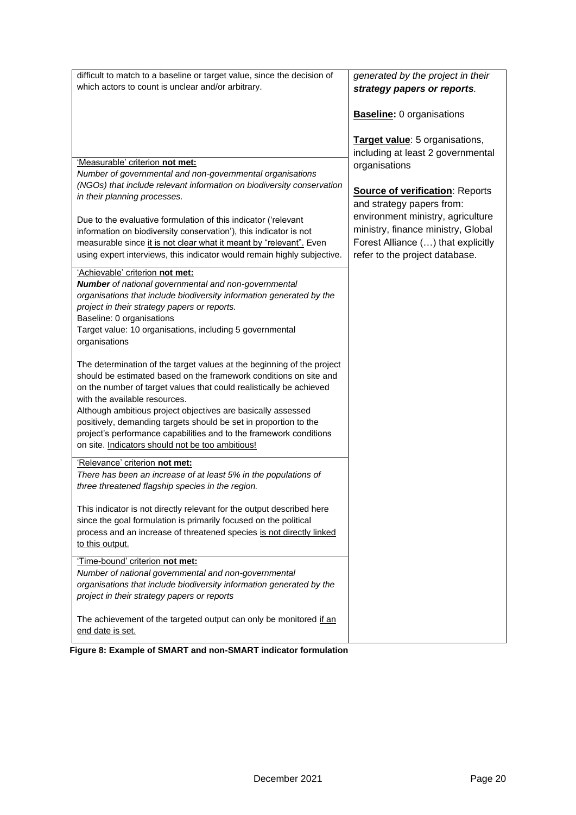| difficult to match to a baseline or target value, since the decision of                                                                                                                                            | generated by the project in their                                  |
|--------------------------------------------------------------------------------------------------------------------------------------------------------------------------------------------------------------------|--------------------------------------------------------------------|
| which actors to count is unclear and/or arbitrary.                                                                                                                                                                 |                                                                    |
|                                                                                                                                                                                                                    | strategy papers or reports.                                        |
|                                                                                                                                                                                                                    | <b>Baseline: 0 organisations</b><br>Target value: 5 organisations, |
|                                                                                                                                                                                                                    | including at least 2 governmental                                  |
| 'Measurable' criterion not met:                                                                                                                                                                                    |                                                                    |
| Number of governmental and non-governmental organisations                                                                                                                                                          | organisations                                                      |
| (NGOs) that include relevant information on biodiversity conservation                                                                                                                                              |                                                                    |
| in their planning processes.                                                                                                                                                                                       | <b>Source of verification: Reports</b>                             |
|                                                                                                                                                                                                                    | and strategy papers from:                                          |
| Due to the evaluative formulation of this indicator ('relevant                                                                                                                                                     | environment ministry, agriculture                                  |
| information on biodiversity conservation'), this indicator is not                                                                                                                                                  | ministry, finance ministry, Global                                 |
| measurable since it is not clear what it meant by "relevant". Even                                                                                                                                                 | Forest Alliance () that explicitly                                 |
| using expert interviews, this indicator would remain highly subjective.                                                                                                                                            | refer to the project database.                                     |
| 'Achievable' criterion not met:                                                                                                                                                                                    |                                                                    |
| <b>Number</b> of national governmental and non-governmental                                                                                                                                                        |                                                                    |
| organisations that include biodiversity information generated by the                                                                                                                                               |                                                                    |
| project in their strategy papers or reports.                                                                                                                                                                       |                                                                    |
| Baseline: 0 organisations                                                                                                                                                                                          |                                                                    |
| Target value: 10 organisations, including 5 governmental                                                                                                                                                           |                                                                    |
| organisations                                                                                                                                                                                                      |                                                                    |
| The determination of the target values at the beginning of the project<br>should be estimated based on the framework conditions on site and<br>on the number of target values that could realistically be achieved |                                                                    |
| with the available resources.                                                                                                                                                                                      |                                                                    |
| Although ambitious project objectives are basically assessed                                                                                                                                                       |                                                                    |
| positively, demanding targets should be set in proportion to the                                                                                                                                                   |                                                                    |
| project's performance capabilities and to the framework conditions                                                                                                                                                 |                                                                    |
| on site. Indicators should not be too ambitious!                                                                                                                                                                   |                                                                    |
| 'Relevance' criterion not met:                                                                                                                                                                                     |                                                                    |
| There has been an increase of at least 5% in the populations of                                                                                                                                                    |                                                                    |
| three threatened flagship species in the region.                                                                                                                                                                   |                                                                    |
|                                                                                                                                                                                                                    |                                                                    |
| This indicator is not directly relevant for the output described here                                                                                                                                              |                                                                    |
| since the goal formulation is primarily focused on the political                                                                                                                                                   |                                                                    |
| process and an increase of threatened species is not directly linked                                                                                                                                               |                                                                    |
| to this output.                                                                                                                                                                                                    |                                                                    |
| 'Time-bound' criterion not met:                                                                                                                                                                                    |                                                                    |
| Number of national governmental and non-governmental                                                                                                                                                               |                                                                    |
| organisations that include biodiversity information generated by the                                                                                                                                               |                                                                    |
| project in their strategy papers or reports                                                                                                                                                                        |                                                                    |
|                                                                                                                                                                                                                    |                                                                    |
| The achievement of the targeted output can only be monitored if an                                                                                                                                                 |                                                                    |
| end date is set.                                                                                                                                                                                                   |                                                                    |

<span id="page-20-0"></span>**Figure 8: Example of SMART and non-SMART indicator formulation**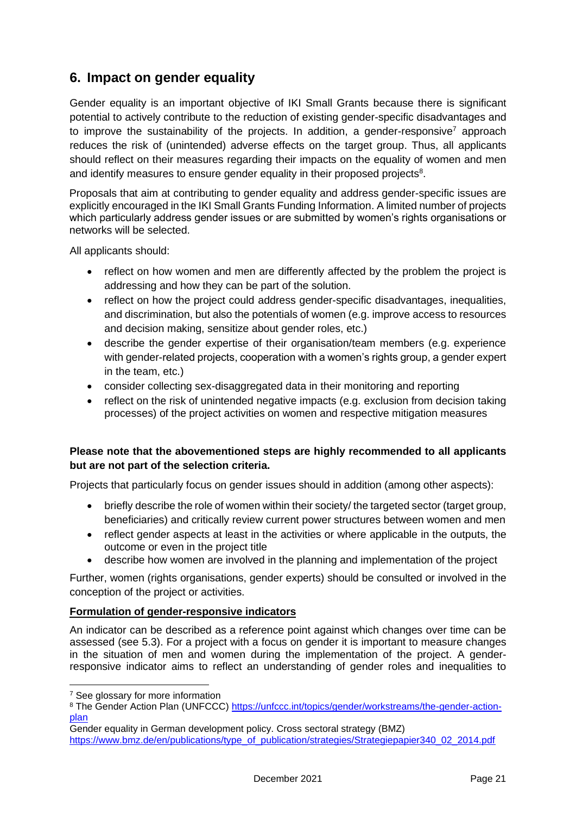# <span id="page-21-0"></span>**6. Impact on gender equality**

Gender equality is an important objective of IKI Small Grants because there is significant potential to actively contribute to the reduction of existing gender-specific disadvantages and to improve the sustainability of the projects. In addition, a gender-responsive<sup>7</sup> approach reduces the risk of (unintended) adverse effects on the target group. Thus, all applicants should reflect on their measures regarding their impacts on the equality of women and men and identify measures to ensure gender equality in their proposed projects $8$ .

Proposals that aim at contributing to gender equality and address gender-specific issues are explicitly encouraged in the IKI Small Grants Funding Information. A limited number of projects which particularly address gender issues or are submitted by women's rights organisations or networks will be selected.

All applicants should:

- reflect on how women and men are differently affected by the problem the project is addressing and how they can be part of the solution.
- reflect on how the project could address gender-specific disadvantages, inequalities, and discrimination, but also the potentials of women (e.g. improve access to resources and decision making, sensitize about gender roles, etc.)
- describe the gender expertise of their organisation/team members (e.g. experience with gender-related projects, cooperation with a women's rights group, a gender expert in the team, etc.)
- consider collecting sex-disaggregated data in their monitoring and reporting
- reflect on the risk of unintended negative impacts (e.g. exclusion from decision taking processes) of the project activities on women and respective mitigation measures

### **Please note that the abovementioned steps are highly recommended to all applicants but are not part of the selection criteria.**

Projects that particularly focus on gender issues should in addition (among other aspects):

- briefly describe the role of women within their society/ the targeted sector (target group, beneficiaries) and critically review current power structures between women and men
- reflect gender aspects at least in the activities or where applicable in the outputs, the outcome or even in the project title
- describe how women are involved in the planning and implementation of the project

Further, women (rights organisations, gender experts) should be consulted or involved in the conception of the project or activities.

#### **Formulation of gender-responsive indicators**

An indicator can be described as a reference point against which changes over time can be assessed (see 5.3). For a project with a focus on gender it is important to measure changes in the situation of men and women during the implementation of the project. A genderresponsive indicator aims to reflect an understanding of gender roles and inequalities to

<sup>&</sup>lt;sup>7</sup> See glossary for more information

<sup>8</sup> The Gender Action Plan (UNFCCC) [https://unfccc.int/topics/gender/workstreams/the-gender-action](https://unfccc.int/topics/gender/workstreams/the-gender-action-plan)[plan](https://unfccc.int/topics/gender/workstreams/the-gender-action-plan)

Gender equality in German development policy. Cross sectoral strategy (BMZ) [https://www.bmz.de/en/publications/type\\_of\\_publication/strategies/Strategiepapier340\\_02\\_2014.pdf](https://www.bmz.de/en/publications/type_of_publication/strategies/Strategiepapier340_02_2014.pdf)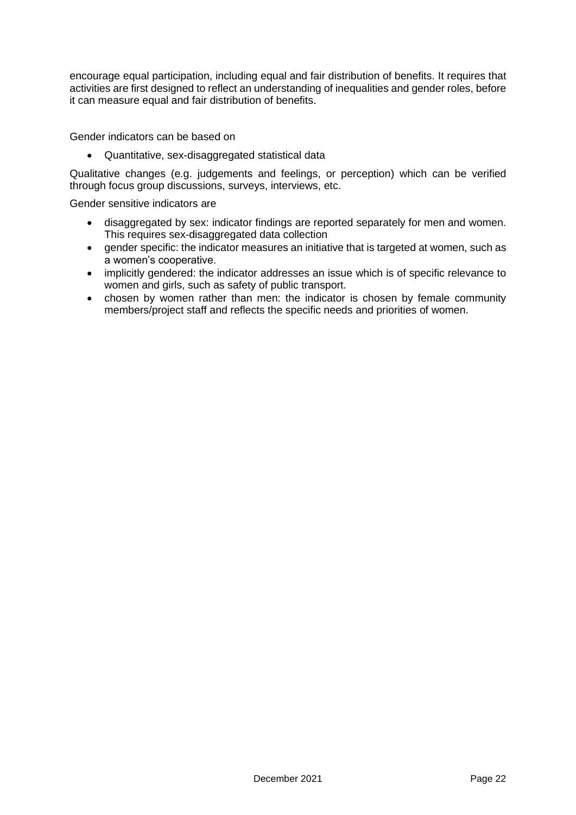encourage equal participation, including equal and fair distribution of benefits. It requires that activities are first designed to reflect an understanding of inequalities and gender roles, before it can measure equal and fair distribution of benefits.

Gender indicators can be based on

• Quantitative, sex-disaggregated statistical data

Qualitative changes (e.g. judgements and feelings, or perception) which can be verified through focus group discussions, surveys, interviews, etc.

Gender sensitive indicators are

- disaggregated by sex: indicator findings are reported separately for men and women. This requires sex-disaggregated data collection
- gender specific: the indicator measures an initiative that is targeted at women, such as a women's cooperative.
- implicitly gendered: the indicator addresses an issue which is of specific relevance to women and girls, such as safety of public transport.
- chosen by women rather than men: the indicator is chosen by female community members/project staff and reflects the specific needs and priorities of women.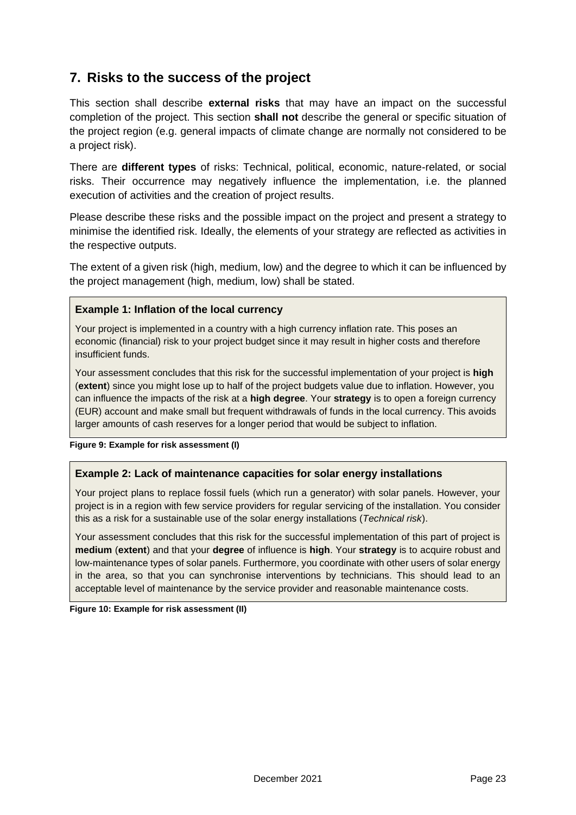# <span id="page-23-0"></span>**7. Risks to the success of the project**

This section shall describe **external risks** that may have an impact on the successful completion of the project. This section **shall not** describe the general or specific situation of the project region (e.g. general impacts of climate change are normally not considered to be a project risk).

There are **different types** of risks: Technical, political, economic, nature-related, or social risks. Their occurrence may negatively influence the implementation, i.e. the planned execution of activities and the creation of project results.

Please describe these risks and the possible impact on the project and present a strategy to minimise the identified risk. Ideally, the elements of your strategy are reflected as activities in the respective outputs.

The extent of a given risk (high, medium, low) and the degree to which it can be influenced by the project management (high, medium, low) shall be stated.

#### **Example 1: Inflation of the local currency**

Your project is implemented in a country with a high currency inflation rate. This poses an economic (financial) risk to your project budget since it may result in higher costs and therefore insufficient funds.

Your assessment concludes that this risk for the successful implementation of your project is **high** (**extent**) since you might lose up to half of the project budgets value due to inflation. However, you can influence the impacts of the risk at a **high degree**. Your **strategy** is to open a foreign currency (EUR) account and make small but frequent withdrawals of funds in the local currency. This avoids larger amounts of cash reserves for a longer period that would be subject to inflation.

#### <span id="page-23-1"></span>**Figure 9: Example for risk assessment (I)**

#### **Example 2: Lack of maintenance capacities for solar energy installations**

Your project plans to replace fossil fuels (which run a generator) with solar panels. However, your project is in a region with few service providers for regular servicing of the installation. You consider this as a risk for a sustainable use of the solar energy installations (*Technical risk*).

Your assessment concludes that this risk for the successful implementation of this part of project is **medium** (**extent**) and that your **degree** of influence is **high**. Your **strategy** is to acquire robust and low-maintenance types of solar panels. Furthermore, you coordinate with other users of solar energy in the area, so that you can synchronise interventions by technicians. This should lead to an acceptable level of maintenance by the service provider and reasonable maintenance costs.

<span id="page-23-2"></span>**Figure 10: Example for risk assessment (II)**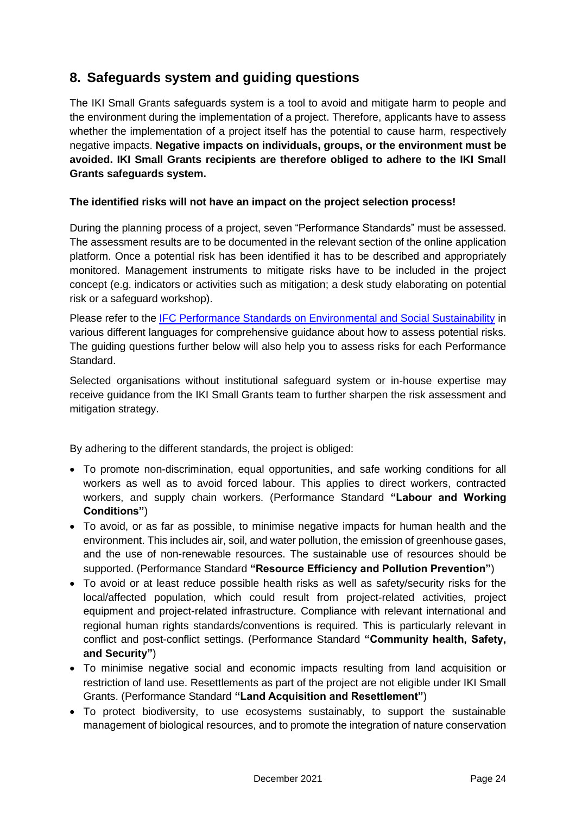# <span id="page-24-0"></span>**8. Safeguards system and guiding questions**

The IKI Small Grants safeguards system is a tool to avoid and mitigate harm to people and the environment during the implementation of a project. Therefore, applicants have to assess whether the implementation of a project itself has the potential to cause harm, respectively negative impacts. **Negative impacts on individuals, groups, or the environment must be avoided. IKI Small Grants recipients are therefore obliged to adhere to the IKI Small Grants safeguards system.** 

### **The identified risks will not have an impact on the project selection process!**

During the planning process of a project, seven "Performance Standards" must be assessed. The assessment results are to be documented in the relevant section of the online application platform. Once a potential risk has been identified it has to be described and appropriately monitored. Management instruments to mitigate risks have to be included in the project concept (e.g. indicators or activities such as mitigation; a desk study elaborating on potential risk or a safeguard workshop).

Please refer to the [IFC Performance Standards on Environmental and Social Sustainability](https://www.ifc.org/wps/wcm/connect/topics_ext_content/ifc_external_corporate_site/sustainability-at-ifc/policies-standards/performance-standards) in various different languages for comprehensive guidance about how to assess potential risks. The guiding questions further below will also help you to assess risks for each Performance Standard.

Selected organisations without institutional safeguard system or in-house expertise may receive guidance from the IKI Small Grants team to further sharpen the risk assessment and mitigation strategy.

By adhering to the different standards, the project is obliged:

- To promote non-discrimination, equal opportunities, and safe working conditions for all workers as well as to avoid forced labour. This applies to direct workers, contracted workers, and supply chain workers. (Performance Standard **"Labour and Working Conditions"**)
- To avoid, or as far as possible, to minimise negative impacts for human health and the environment. This includes air, soil, and water pollution, the emission of greenhouse gases, and the use of non-renewable resources. The sustainable use of resources should be supported. (Performance Standard **"Resource Efficiency and Pollution Prevention"**)
- To avoid or at least reduce possible health risks as well as safety/security risks for the local/affected population, which could result from project-related activities, project equipment and project-related infrastructure. Compliance with relevant international and regional human rights standards/conventions is required. This is particularly relevant in conflict and post-conflict settings. (Performance Standard **"Community health, Safety, and Security"**)
- To minimise negative social and economic impacts resulting from land acquisition or restriction of land use. Resettlements as part of the project are not eligible under IKI Small Grants. (Performance Standard **"Land Acquisition and Resettlement"**)
- To protect biodiversity, to use ecosystems sustainably, to support the sustainable management of biological resources, and to promote the integration of nature conservation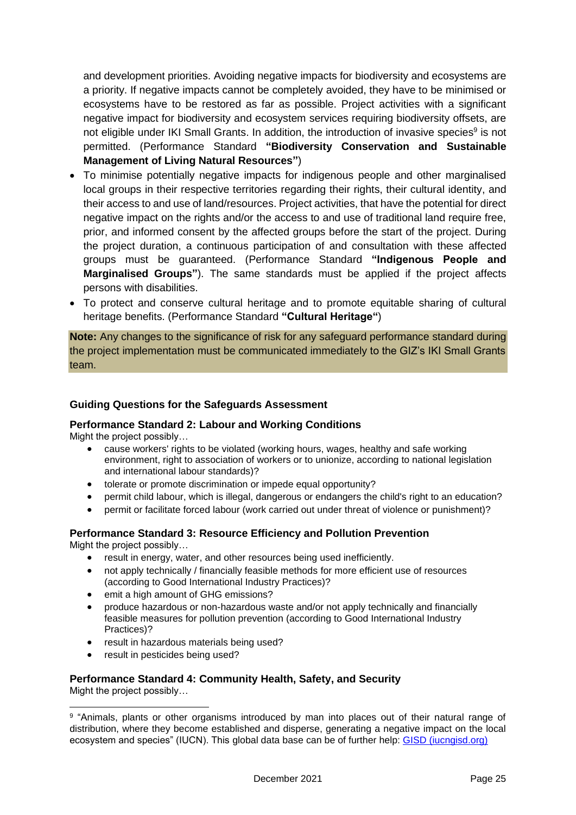and development priorities. Avoiding negative impacts for biodiversity and ecosystems are a priority. If negative impacts cannot be completely avoided, they have to be minimised or ecosystems have to be restored as far as possible. Project activities with a significant negative impact for biodiversity and ecosystem services requiring biodiversity offsets, are not eligible under IKI Small Grants. In addition, the introduction of invasive species<sup>9</sup> is not permitted. (Performance Standard **"Biodiversity Conservation and Sustainable Management of Living Natural Resources"**)

- To minimise potentially negative impacts for indigenous people and other marginalised local groups in their respective territories regarding their rights, their cultural identity, and their access to and use of land/resources. Project activities, that have the potential for direct negative impact on the rights and/or the access to and use of traditional land require free, prior, and informed consent by the affected groups before the start of the project. During the project duration, a continuous participation of and consultation with these affected groups must be guaranteed. (Performance Standard **"Indigenous People and Marginalised Groups"**). The same standards must be applied if the project affects persons with disabilities.
- To protect and conserve cultural heritage and to promote equitable sharing of cultural heritage benefits. (Performance Standard **"Cultural Heritage"**)

**Note:** Any changes to the significance of risk for any safeguard performance standard during the project implementation must be communicated immediately to the GIZ's IKI Small Grants team.

#### **Guiding Questions for the Safeguards Assessment**

#### **Performance Standard 2: Labour and Working Conditions**

Might the project possibly…

- cause workers' rights to be violated (working hours, wages, healthy and safe working environment, right to association of workers or to unionize, according to national legislation and international labour standards)?
- tolerate or promote discrimination or impede equal opportunity?
- permit child labour, which is illegal, dangerous or endangers the child's right to an education?
- permit or facilitate forced labour (work carried out under threat of violence or punishment)?

#### **Performance Standard 3: Resource Efficiency and Pollution Prevention**

Might the project possibly…

- result in energy, water, and other resources being used inefficiently.
- not apply technically / financially feasible methods for more efficient use of resources (according to Good International Industry Practices)?
- emit a high amount of GHG emissions?
- produce hazardous or non-hazardous waste and/or not apply technically and financially feasible measures for pollution prevention (according to Good International Industry Practices)?
- result in hazardous materials being used?
- result in pesticides being used?

#### **Performance Standard 4: Community Health, Safety, and Security**  Might the project possibly…

<sup>&</sup>lt;sup>9</sup> "Animals, plants or other organisms introduced by man into places out of their natural range of distribution, where they become established and disperse, generating a negative impact on the local ecosystem and species" (IUCN). This global data base can be of further help: [GISD \(iucngisd.org\)](https://eur01.safelinks.protection.outlook.com/?url=http%3A%2F%2Fwww.iucngisd.org%2Fgisd%2F&data=04%7C01%7Ceva.wuttge%40giz.de%7C085bc52ea1b44d33a46408d98a2ef9b6%7C5bbab28cdef3460488225e707da8dba8%7C0%7C0%7C637692756617728732%7CUnknown%7CTWFpbGZsb3d8eyJWIjoiMC4wLjAwMDAiLCJQIjoiV2luMzIiLCJBTiI6Ik1haWwiLCJXVCI6Mn0%3D%7C1000&sdata=yZb4qZVYSVTNRUGhzarjTLY2d%2BOqfYJksz6Dwlh2NXo%3D&reserved=0)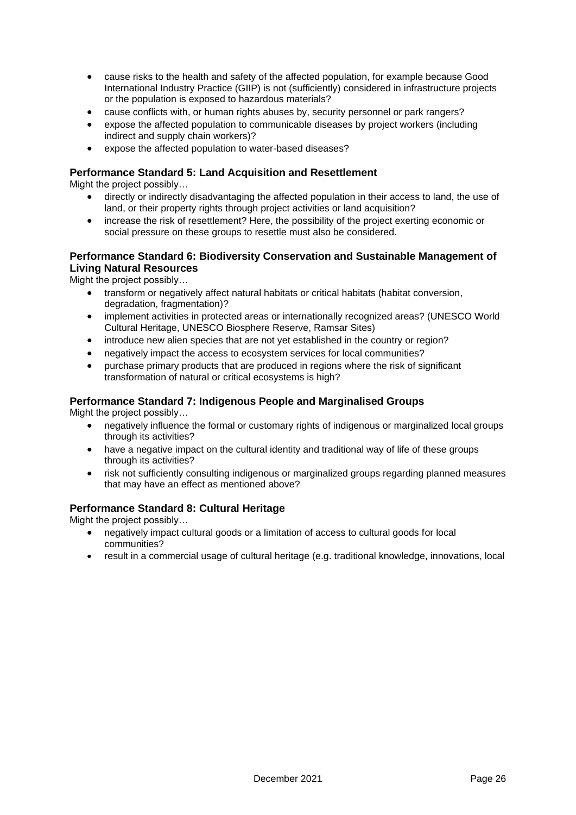- cause risks to the health and safety of the affected population, for example because Good International Industry Practice (GIIP) is not (sufficiently) considered in infrastructure projects or the population is exposed to hazardous materials?
- cause conflicts with, or human rights abuses by, security personnel or park rangers?
- expose the affected population to communicable diseases by project workers (including indirect and supply chain workers)?
- expose the affected population to water-based diseases?

#### **Performance Standard 5: Land Acquisition and Resettlement**

Might the project possibly…

- directly or indirectly disadvantaging the affected population in their access to land, the use of land, or their property rights through project activities or land acquisition?
- increase the risk of resettlement? Here, the possibility of the project exerting economic or social pressure on these groups to resettle must also be considered.

#### **Performance Standard 6: Biodiversity Conservation and Sustainable Management of Living Natural Resources**

Might the project possibly…

- transform or negatively affect natural habitats or critical habitats (habitat conversion, degradation, fragmentation)?
- implement activities in protected areas or internationally recognized areas? (UNESCO World Cultural Heritage, UNESCO Biosphere Reserve, Ramsar Sites)
- introduce new alien species that are not yet established in the country or region?
- negatively impact the access to ecosystem services for local communities?
- purchase primary products that are produced in regions where the risk of significant transformation of natural or critical ecosystems is high?

#### **Performance Standard 7: Indigenous People and Marginalised Groups**

Might the project possibly…

- negatively influence the formal or customary rights of indigenous or marginalized local groups through its activities?
- have a negative impact on the cultural identity and traditional way of life of these groups through its activities?
- risk not sufficiently consulting indigenous or marginalized groups regarding planned measures that may have an effect as mentioned above?

#### **Performance Standard 8: Cultural Heritage**

Might the project possibly…

- negatively impact cultural goods or a limitation of access to cultural goods for local communities?
- result in a commercial usage of cultural heritage (e.g. traditional knowledge, innovations, local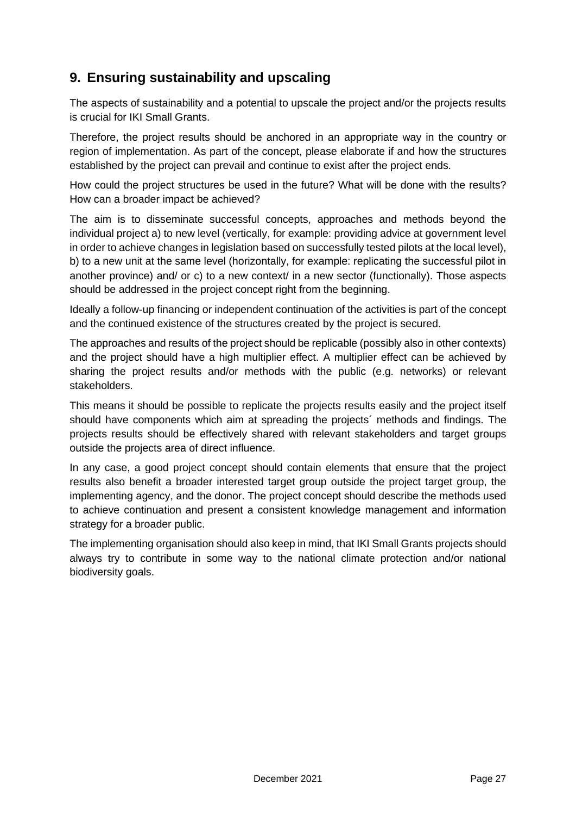# <span id="page-27-0"></span>**9. Ensuring sustainability and upscaling**

The aspects of sustainability and a potential to upscale the project and/or the projects results is crucial for IKI Small Grants.

Therefore, the project results should be anchored in an appropriate way in the country or region of implementation. As part of the concept, please elaborate if and how the structures established by the project can prevail and continue to exist after the project ends.

How could the project structures be used in the future? What will be done with the results? How can a broader impact be achieved?

The aim is to disseminate successful concepts, approaches and methods beyond the individual project a) to new level (vertically, for example: providing advice at government level in order to achieve changes in legislation based on successfully tested pilots at the local level), b) to a new unit at the same level (horizontally, for example: replicating the successful pilot in another province) and/ or c) to a new context/ in a new sector (functionally). Those aspects should be addressed in the project concept right from the beginning.

Ideally a follow-up financing or independent continuation of the activities is part of the concept and the continued existence of the structures created by the project is secured.

The approaches and results of the project should be replicable (possibly also in other contexts) and the project should have a high multiplier effect. A multiplier effect can be achieved by sharing the project results and/or methods with the public (e.g. networks) or relevant stakeholders.

This means it should be possible to replicate the projects results easily and the project itself should have components which aim at spreading the projects´ methods and findings. The projects results should be effectively shared with relevant stakeholders and target groups outside the projects area of direct influence.

In any case, a good project concept should contain elements that ensure that the project results also benefit a broader interested target group outside the project target group, the implementing agency, and the donor. The project concept should describe the methods used to achieve continuation and present a consistent knowledge management and information strategy for a broader public.

The implementing organisation should also keep in mind, that IKI Small Grants projects should always try to contribute in some way to the national climate protection and/or national biodiversity goals.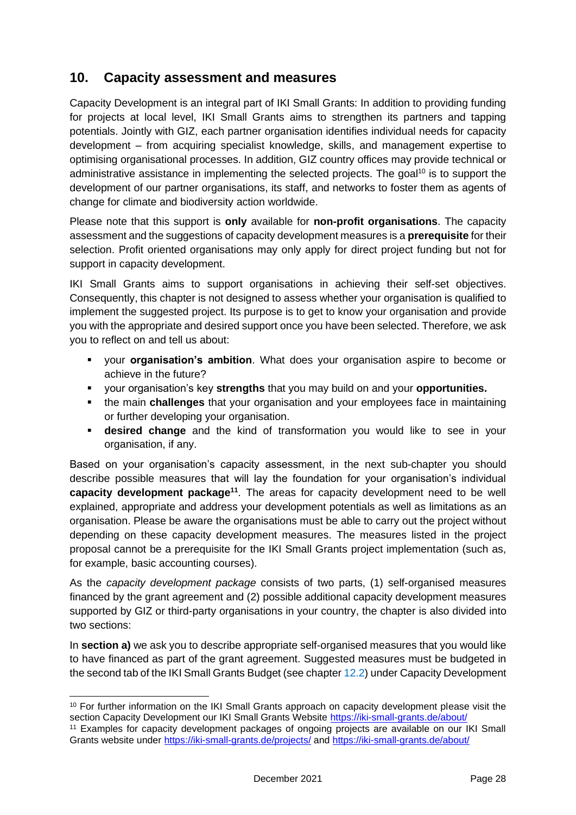# <span id="page-28-0"></span>**10. Capacity assessment and measures**

Capacity Development is an integral part of IKI Small Grants: In addition to providing funding for projects at local level, IKI Small Grants aims to strengthen its partners and tapping potentials. Jointly with GIZ, each partner organisation identifies individual needs for capacity development – from acquiring specialist knowledge, skills, and management expertise to optimising organisational processes. In addition, GIZ country offices may provide technical or administrative assistance in implementing the selected projects. The goal<sup>10</sup> is to support the development of our partner organisations, its staff, and networks to foster them as agents of change for climate and biodiversity action worldwide.

Please note that this support is **only** available for **non-profit organisations**. The capacity assessment and the suggestions of capacity development measures is a **prerequisite** for their selection. Profit oriented organisations may only apply for direct project funding but not for support in capacity development.

IKI Small Grants aims to support organisations in achieving their self-set objectives. Consequently, this chapter is not designed to assess whether your organisation is qualified to implement the suggested project. Its purpose is to get to know your organisation and provide you with the appropriate and desired support once you have been selected. Therefore, we ask you to reflect on and tell us about:

- your **organisation's ambition**. What does your organisation aspire to become or achieve in the future?
- your organisation's key **strengths** that you may build on and your **opportunities.**
- **the main challenges** that your organisation and your employees face in maintaining or further developing your organisation.
- **Example 3** desired change and the kind of transformation you would like to see in your organisation, if any.

Based on your organisation's capacity assessment, in the next sub-chapter you should describe possible measures that will lay the foundation for your organisation's individual **capacity development package<sup>11</sup>** . The areas for capacity development need to be well explained, appropriate and address your development potentials as well as limitations as an organisation. Please be aware the organisations must be able to carry out the project without depending on these capacity development measures. The measures listed in the project proposal cannot be a prerequisite for the IKI Small Grants project implementation (such as, for example, basic accounting courses).

As the *capacity development package* consists of two parts, (1) self-organised measures financed by the grant agreement and (2) possible additional capacity development measures supported by GIZ or third-party organisations in your country, the chapter is also divided into two sections:

In **section a)** we ask you to describe appropriate self-organised measures that you would like to have financed as part of the grant agreement. Suggested measures must be budgeted in the second tab of the IKI Small Grants Budget (see chapte[r 12.2\)](#page-35-0) under Capacity Development

<sup>&</sup>lt;sup>10</sup> For further information on the IKI Small Grants approach on capacity development please visit the section Capacity Development our IKI Small Grants Website<https://iki-small-grants.de/about/>

<sup>11</sup> Examples for capacity development packages of ongoing projects are available on our IKI Small Grants website under<https://iki-small-grants.de/projects/> and<https://iki-small-grants.de/about/>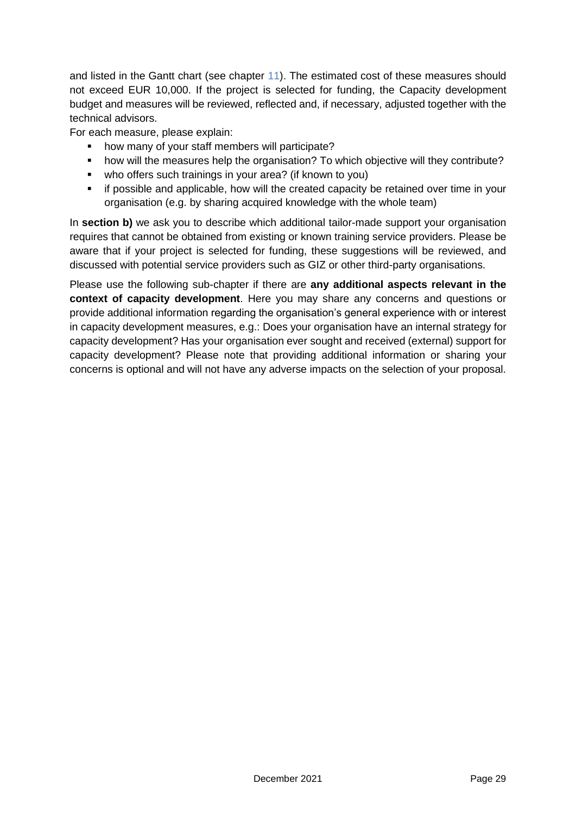and listed in the Gantt chart (see chapter [11\)](#page-30-0). The estimated cost of these measures should not exceed EUR 10,000. If the project is selected for funding, the Capacity development budget and measures will be reviewed, reflected and, if necessary, adjusted together with the technical advisors.

For each measure, please explain:

- how many of your staff members will participate?
- how will the measures help the organisation? To which objective will they contribute?
- who offers such trainings in your area? (if known to you)
- **•** if possible and applicable, how will the created capacity be retained over time in your organisation (e.g. by sharing acquired knowledge with the whole team)

In **section b)** we ask you to describe which additional tailor-made support your organisation requires that cannot be obtained from existing or known training service providers. Please be aware that if your project is selected for funding, these suggestions will be reviewed, and discussed with potential service providers such as GIZ or other third-party organisations.

Please use the following sub-chapter if there are **any additional aspects relevant in the context of capacity development**. Here you may share any concerns and questions or provide additional information regarding the organisation's general experience with or interest in capacity development measures, e.g.: Does your organisation have an internal strategy for capacity development? Has your organisation ever sought and received (external) support for capacity development? Please note that providing additional information or sharing your concerns is optional and will not have any adverse impacts on the selection of your proposal.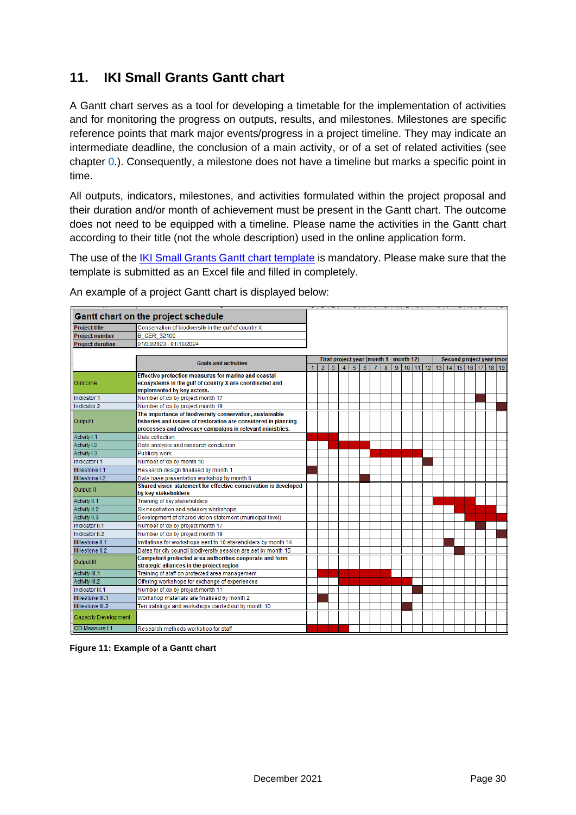# <span id="page-30-0"></span>**11. IKI Small Grants Gantt chart**

A Gantt chart serves as a tool for developing a timetable for the implementation of activities and for monitoring the progress on outputs, results, and milestones. Milestones are specific reference points that mark major events/progress in a project timeline. They may indicate an intermediate deadline, the conclusion of a main activity, or of a set of related activities (see chapter [0.](#page-20-0)). Consequently, a milestone does not have a timeline but marks a specific point in time.

All outputs, indicators, milestones, and activities formulated within the project proposal and their duration and/or month of achievement must be present in the Gantt chart. The outcome does not need to be equipped with a timeline. Please name the activities in the Gantt chart according to their title (not the whole description) used in the online application form.

The use of the [IKI Small Grants Gantt chart template](https://iki-small-grants.de/wp-content/uploads/2021/12/IKI-Small-Grants_Gantt-Chart-Template.xlsx) is mandatory. Please make sure that the template is submitted as an Excel file and filled in completely.

|                             | <b>Gantt chart on the project schedule</b>                                                    |   |                |                |                |   |   |                |   |   |                                         |       |  |  |  |                           |
|-----------------------------|-----------------------------------------------------------------------------------------------|---|----------------|----------------|----------------|---|---|----------------|---|---|-----------------------------------------|-------|--|--|--|---------------------------|
| <b>Project title</b>        | Conservation of biodiversity in the gulf of country X                                         |   |                |                |                |   |   |                |   |   |                                         |       |  |  |  |                           |
| <b>Project number</b>       | <b>B GER 32100</b>                                                                            |   |                |                |                |   |   |                |   |   |                                         |       |  |  |  |                           |
| <b>Project duration</b>     | 01/03/2023 - 01/10/2024                                                                       |   |                |                |                |   |   |                |   |   |                                         |       |  |  |  |                           |
|                             |                                                                                               |   |                |                |                |   |   |                |   |   |                                         |       |  |  |  |                           |
|                             | <b>Goals and activities</b>                                                                   |   |                |                |                |   |   |                |   |   | First project year (month 1 - month 12) |       |  |  |  | Second project year (mont |
|                             |                                                                                               | 1 | $\overline{2}$ | $\overline{3}$ | $\overline{4}$ | 5 | 6 | $\overline{7}$ | 8 | 9 |                                         | 10 11 |  |  |  | 12 13 14 15 16 17 18 19   |
|                             | Effective protection measures for marine and coastal                                          |   |                |                |                |   |   |                |   |   |                                         |       |  |  |  |                           |
| Outcome                     | ecosystems in the gulf of country X are coordinated and                                       |   |                |                |                |   |   |                |   |   |                                         |       |  |  |  |                           |
|                             | implemented by key actors.                                                                    |   |                |                |                |   |   |                |   |   |                                         |       |  |  |  |                           |
| Indicator 1                 | Number of xxx by project month 17                                                             |   |                |                |                |   |   |                |   |   |                                         |       |  |  |  |                           |
| Indicator 2                 | Number of xxx by project month 19<br>The importance of biodiversity conservation, sustainable |   |                |                |                |   |   |                |   |   |                                         |       |  |  |  |                           |
| Output I                    | fisheries and issues of restoration are considered in planning                                |   |                |                |                |   |   |                |   |   |                                         |       |  |  |  |                           |
|                             | processes and advocacy campaigns in relevant ministries.                                      |   |                |                |                |   |   |                |   |   |                                         |       |  |  |  |                           |
| Activity I.1                | Data collection                                                                               |   |                |                |                |   |   |                |   |   |                                         |       |  |  |  |                           |
| Activity I.2                | Data analysis and research conclusion                                                         |   |                |                |                |   |   |                |   |   |                                         |       |  |  |  |                           |
| Activity I.3                | <b>Publicity work</b>                                                                         |   |                |                |                |   |   |                |   |   |                                         |       |  |  |  |                           |
| Indicator I.1               | Number of xxx by month 10                                                                     |   |                |                |                |   |   |                |   |   |                                         |       |  |  |  |                           |
| Milestone I.1               | Research design finalised by month 1                                                          |   |                |                |                |   |   |                |   |   |                                         |       |  |  |  |                           |
| Milestone I.2               | Data base presentation workshop by month 6                                                    |   |                |                |                |   |   |                |   |   |                                         |       |  |  |  |                           |
|                             | Shared vision statement for effective conservation is developed                               |   |                |                |                |   |   |                |   |   |                                         |       |  |  |  |                           |
| Output II                   | by key stakeholders                                                                           |   |                |                |                |   |   |                |   |   |                                         |       |  |  |  |                           |
| <b>Activity II.1</b>        | Training of key stakeholders                                                                  |   |                |                |                |   |   |                |   |   |                                         |       |  |  |  |                           |
| <b>Activity II.2</b>        | Six negotiation and advisory workshops                                                        |   |                |                |                |   |   |                |   |   |                                         |       |  |  |  |                           |
| Activity II.3               | Development of shared vision statement (municipal level)                                      |   |                |                |                |   |   |                |   |   |                                         |       |  |  |  |                           |
| Indicator II.1              | Number of xxx by project month 17                                                             |   |                |                |                |   |   |                |   |   |                                         |       |  |  |  |                           |
| Indicator II.2              | Number of xxx by project month 19                                                             |   |                |                |                |   |   |                |   |   |                                         |       |  |  |  |                           |
| Milestone II.1              | Invitations for workshops sent to 10 stakeholders by month 14                                 |   |                |                |                |   |   |                |   |   |                                         |       |  |  |  |                           |
| Milestone II.2              | Dates for city council biodiversity session are set by month 15                               |   |                |                |                |   |   |                |   |   |                                         |       |  |  |  |                           |
| Output III                  | Competent protected area authorities cooperate and form                                       |   |                |                |                |   |   |                |   |   |                                         |       |  |  |  |                           |
|                             | strategic alliances in the project region                                                     |   |                |                |                |   |   |                |   |   |                                         |       |  |  |  |                           |
| <b>Activity III.1</b>       | Training of staff on protected area management                                                |   |                |                |                |   |   |                |   |   |                                         |       |  |  |  |                           |
| Activity III.2              | Offering workshops for exchange of experiences                                                |   |                |                |                |   |   |                |   |   |                                         |       |  |  |  |                           |
| Indicator III.1             | Number of xxx by project month 11                                                             |   |                |                |                |   |   |                |   |   |                                         |       |  |  |  |                           |
| Milestone III.1             | Workshop materials are finalised by month 2                                                   |   |                |                |                |   |   |                |   |   |                                         |       |  |  |  |                           |
| Milestone III.2             | Ten trainings and workshops carried out by month 10                                           |   |                |                |                |   |   |                |   |   |                                         |       |  |  |  |                           |
| <b>Capacity Development</b> |                                                                                               |   |                |                |                |   |   |                |   |   |                                         |       |  |  |  |                           |
| CD Measure I.1              | Research methods workshop for staff                                                           |   |                |                |                |   |   |                |   |   |                                         |       |  |  |  |                           |

An example of a project Gantt chart is displayed below:

<span id="page-30-1"></span>**Figure 11: Example of a Gantt chart**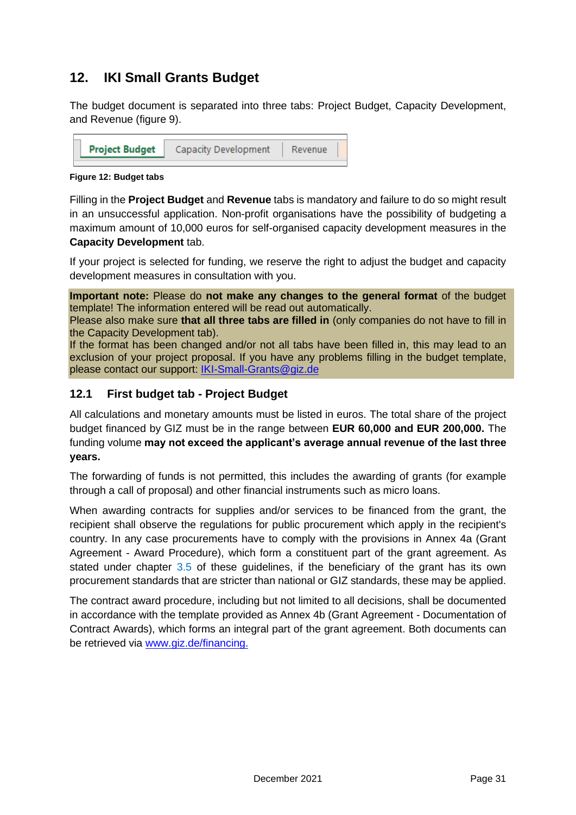# <span id="page-31-0"></span>**12. IKI Small Grants Budget**

The budget document is separated into three tabs: Project Budget, Capacity Development, and Revenue (figure 9).



**Figure 12: Budget tabs**

<span id="page-31-2"></span>Filling in the **Project Budget** and **Revenue** tabs is mandatory and failure to do so might result in an unsuccessful application. Non-profit organisations have the possibility of budgeting a maximum amount of 10,000 euros for self-organised capacity development measures in the

### **Capacity Development** tab.

If your project is selected for funding, we reserve the right to adjust the budget and capacity development measures in consultation with you.

**Important note:** Please do **not make any changes to the general format** of the budget template! The information entered will be read out automatically.

Please also make sure **that all three tabs are filled in** (only companies do not have to fill in the Capacity Development tab).

If the format has been changed and/or not all tabs have been filled in, this may lead to an exclusion of your project proposal. If you have any problems filling in the budget template, please contact our support: [IKI-Small-Grants@giz.de](mailto:IKI-Small-Grants@giz.de)

# <span id="page-31-1"></span>**12.1 First budget tab - Project Budget**

All calculations and monetary amounts must be listed in euros. The total share of the project budget financed by GIZ must be in the range between **EUR 60,000 and EUR 200,000.** The funding volume **may not exceed the applicant's average annual revenue of the last three years.**

The forwarding of funds is not permitted, this includes the awarding of grants (for example through a call of proposal) and other financial instruments such as micro loans.

When awarding contracts for supplies and/or services to be financed from the grant, the recipient shall observe the regulations for public procurement which apply in the recipient's country. In any case procurements have to comply with the provisions in Annex 4a (Grant Agreement - Award Procedure), which form a constituent part of the grant agreement. As stated under chapter [3.5](#page-11-0) of these guidelines, if the beneficiary of the grant has its own procurement standards that are stricter than national or GIZ standards, these may be applied.

The contract award procedure, including but not limited to all decisions, shall be documented in accordance with the template provided as Annex 4b (Grant Agreement - Documentation of Contract Awards), which forms an integral part of the grant agreement. Both documents can be retrieved via [www.giz.de/financing.](http://www.giz.de/financing)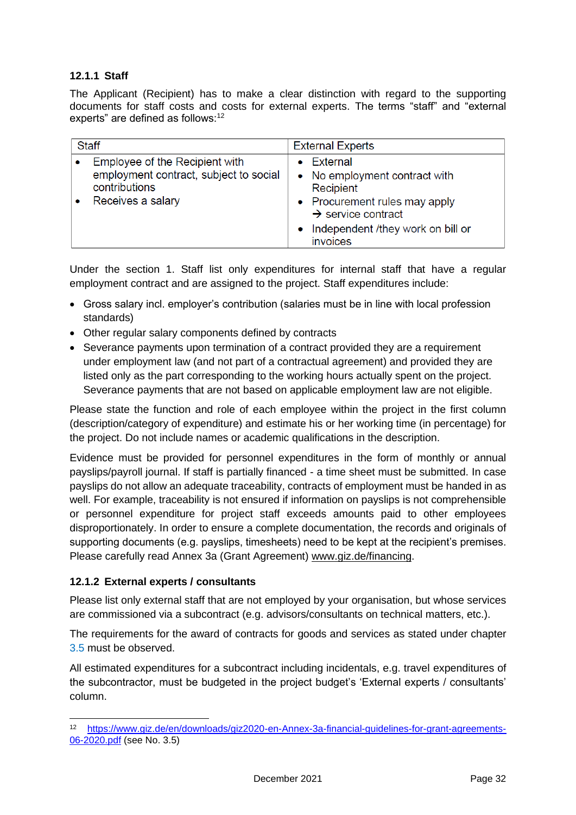### <span id="page-32-0"></span>**12.1.1 Staff**

The Applicant (Recipient) has to make a clear distinction with regard to the supporting documents for staff costs and costs for external experts. The terms "staff" and "external experts" are defined as follows: $12$ 

| <b>Staff</b>                                                                                                   | <b>External Experts</b>                                                                                                                                                                        |  |  |  |  |  |
|----------------------------------------------------------------------------------------------------------------|------------------------------------------------------------------------------------------------------------------------------------------------------------------------------------------------|--|--|--|--|--|
| Employee of the Recipient with<br>employment contract, subject to social<br>contributions<br>Receives a salary | <b>External</b><br>• No employment contract with<br>Recipient<br>• Procurement rules may apply<br>$\rightarrow$ service contract<br>Independent /they work on bill or<br>$\bullet$<br>invoices |  |  |  |  |  |

Under the section 1. Staff list only expenditures for internal staff that have a regular employment contract and are assigned to the project. Staff expenditures include:

- Gross salary incl. employer's contribution (salaries must be in line with local profession standards)
- Other regular salary components defined by contracts
- Severance payments upon termination of a contract provided they are a requirement under employment law (and not part of a contractual agreement) and provided they are listed only as the part corresponding to the working hours actually spent on the project. Severance payments that are not based on applicable employment law are not eligible.

Please state the function and role of each employee within the project in the first column (description/category of expenditure) and estimate his or her working time (in percentage) for the project. Do not include names or academic qualifications in the description.

Evidence must be provided for personnel expenditures in the form of monthly or annual payslips/payroll journal. If staff is partially financed - a time sheet must be submitted. In case payslips do not allow an adequate traceability, contracts of employment must be handed in as well. For example, traceability is not ensured if information on payslips is not comprehensible or personnel expenditure for project staff exceeds amounts paid to other employees disproportionately. In order to ensure a complete documentation, the records and originals of supporting documents (e.g. payslips, timesheets) need to be kept at the recipient's premises. Please carefully read Annex 3a (Grant Agreement) [www.giz.de/financing.](http://www.giz.de/financing)

#### <span id="page-32-1"></span>**12.1.2 External experts / consultants**

Please list only external staff that are not employed by your organisation, but whose services are commissioned via a subcontract (e.g. advisors/consultants on technical matters, etc.).

The requirements for the award of contracts for goods and services as stated under chapter [3.5](#page-11-2) must be observed.

All estimated expenditures for a subcontract including incidentals, e.g. travel expenditures of the subcontractor, must be budgeted in the project budget's 'External experts / consultants' column.

<sup>12</sup> [https://www.giz.de/en/downloads/giz2020-en-Annex-3a-financial-guidelines-for-grant-agreements-](https://www.giz.de/en/downloads/giz2020-en-Annex-3a-financial-guidelines-for-grant-agreements-06-2020.pdf)[06-2020.pdf](https://www.giz.de/en/downloads/giz2020-en-Annex-3a-financial-guidelines-for-grant-agreements-06-2020.pdf) (see No. 3.5)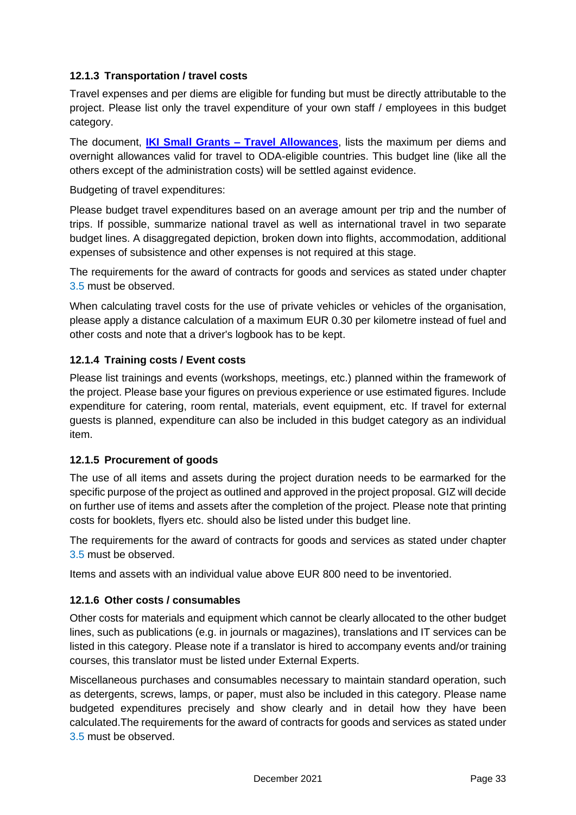### <span id="page-33-0"></span>**12.1.3 Transportation / travel costs**

Travel expenses and per diems are eligible for funding but must be directly attributable to the project. Please list only the travel expenditure of your own staff / employees in this budget category.

The document, **[IKI Small Grants –](https://iki-small-grants.de/wp-content/uploads/2021/12/IKI-Small-Grants_Travel-Allowances-2021-2022.pdf) Travel Allowances**, lists the maximum per diems and overnight allowances valid for travel to ODA-eligible countries. This budget line (like all the others except of the administration costs) will be settled against evidence.

Budgeting of travel expenditures:

Please budget travel expenditures based on an average amount per trip and the number of trips. If possible, summarize national travel as well as international travel in two separate budget lines. A disaggregated depiction, broken down into flights, accommodation, additional expenses of subsistence and other expenses is not required at this stage.

The requirements for the award of contracts for goods and services as stated under chapter [3.5](#page-11-2) must be observed.

When calculating travel costs for the use of private vehicles or vehicles of the organisation, please apply a distance calculation of a maximum EUR 0.30 per kilometre instead of fuel and other costs and note that a driver's logbook has to be kept.

# <span id="page-33-1"></span>**12.1.4 Training costs / Event costs**

Please list trainings and events (workshops, meetings, etc.) planned within the framework of the project. Please base your figures on previous experience or use estimated figures. Include expenditure for catering, room rental, materials, event equipment, etc. If travel for external guests is planned, expenditure can also be included in this budget category as an individual item.

### <span id="page-33-2"></span>**12.1.5 Procurement of goods**

The use of all items and assets during the project duration needs to be earmarked for the specific purpose of the project as outlined and approved in the project proposal. GIZ will decide on further use of items and assets after the completion of the project. Please note that printing costs for booklets, flyers etc. should also be listed under this budget line.

The requirements for the award of contracts for goods and services as stated under chapter [3.5](#page-11-2) must be observed.

Items and assets with an individual value above EUR 800 need to be inventoried.

### <span id="page-33-3"></span>**12.1.6 Other costs / consumables**

Other costs for materials and equipment which cannot be clearly allocated to the other budget lines, such as publications (e.g. in journals or magazines), translations and IT services can be listed in this category. Please note if a translator is hired to accompany events and/or training courses, this translator must be listed under External Experts.

Miscellaneous purchases and consumables necessary to maintain standard operation, such as detergents, screws, lamps, or paper, must also be included in this category. Please name budgeted expenditures precisely and show clearly and in detail how they have been calculated.The requirements for the award of contracts for goods and services as stated under [3.5](#page-11-2) must be observed.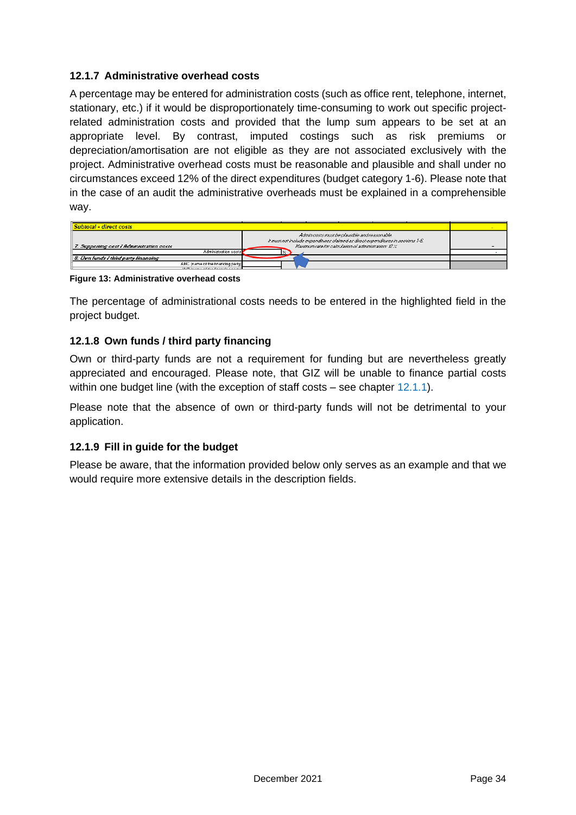### <span id="page-34-0"></span>**12.1.7 Administrative overhead costs**

A percentage may be entered for administration costs (such as office rent, telephone, internet, stationary, etc.) if it would be disproportionately time-consuming to work out specific projectrelated administration costs and provided that the lump sum appears to be set at an appropriate level. By contrast, imputed costings such as risk premiums or depreciation/amortisation are not eligible as they are not associated exclusively with the project. Administrative overhead costs must be reasonable and plausible and shall under no circumstances exceed 12% of the direct expenditures (budget category 1-6). Please note that in the case of an audit the administrative overheads must be explained in a comprehensible way.

| <b>Subtotal - direct costs</b>                                            |                                                                                                                                                                                           |  |
|---------------------------------------------------------------------------|-------------------------------------------------------------------------------------------------------------------------------------------------------------------------------------------|--|
| 7. Supporting cost / Administration costs                                 | Admin costs must be plausible and reasonable.<br>$k$ must not include expenditures claimed as direct expenditures in sections 1-6.<br>Maximum rate for calculation of administration: 12% |  |
| Administration costs                                                      |                                                                                                                                                                                           |  |
| 8. Own funds I third party financing                                      |                                                                                                                                                                                           |  |
| ABC (name of the financing party)<br><b>ARRIVAL CONTRACTOR CONTRACTOR</b> |                                                                                                                                                                                           |  |

<span id="page-34-3"></span>**Figure 13: Administrative overhead costs**

The percentage of administrational costs needs to be entered in the highlighted field in the project budget.

### <span id="page-34-1"></span>**12.1.8 Own funds / third party financing**

Own or third-party funds are not a requirement for funding but are nevertheless greatly appreciated and encouraged. Please note, that GIZ will be unable to finance partial costs within one budget line (with the exception of staff costs – see chapter [12.1.1\)](#page-32-0).

Please note that the absence of own or third-party funds will not be detrimental to your application.

### <span id="page-34-2"></span>**12.1.9 Fill in guide for the budget**

Please be aware, that the information provided below only serves as an example and that we would require more extensive details in the description fields.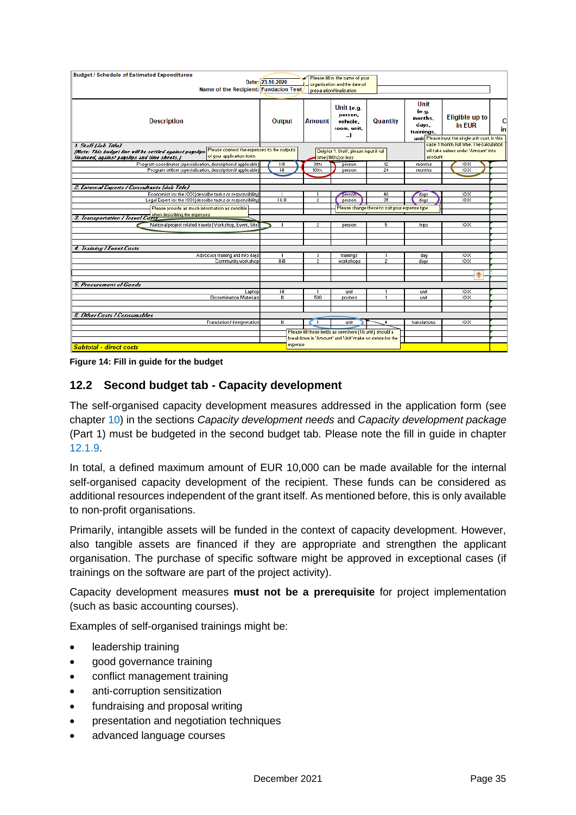| <b>Budget / Schedule of Estimated Expenditures</b><br>Name of the Recipient. Fundacion Test                                                                                                                | Date: 23.10.2020    |                                                                                                                      | Please fill in the name of your<br>organisation and the date of<br>preparation/finalisation |                                                           |                                                  |                                                                                   |         |
|------------------------------------------------------------------------------------------------------------------------------------------------------------------------------------------------------------|---------------------|----------------------------------------------------------------------------------------------------------------------|---------------------------------------------------------------------------------------------|-----------------------------------------------------------|--------------------------------------------------|-----------------------------------------------------------------------------------|---------|
| <b>Description</b>                                                                                                                                                                                         | Output              | <b>Amount</b>                                                                                                        | Unit (e.g.<br>person,<br>vehicle.<br>room, unit,<br>_)                                      | <b>Quantity</b>                                           | Unit<br>(e. q.<br>months,<br>days,<br>trainings, | Eligible up to<br>in EUR<br>unit Please input the single unit cost, in this       | c<br>in |
| 1. Staff (Job Title)<br>Please connect the expenses to the outputs<br>(Note: This budget line will be settled against payslips<br>of your application form<br>financed, against payslips and time sheets.} |                     |                                                                                                                      | Only for '1. Staff', please input if full<br>time (100%) or less                            |                                                           | account                                          | case: 1 month, full time. The calculation<br>will take values under 'Amount' into |         |
| Program coordinator (specialisation, description if applicable)<br>Program officer (specialisation, description if applicable)                                                                             | $1 - 11$<br>H       | 30 <sub>2</sub><br>100%                                                                                              | person<br>person                                                                            | 12<br>24                                                  | months<br>months                                 | XXX<br>XXX                                                                        |         |
| 2. External Experts / Consultants (Job Title)                                                                                                                                                              |                     |                                                                                                                      |                                                                                             |                                                           |                                                  |                                                                                   |         |
| Economist for the XXX (describe tasks or responsibility)<br>Legal Expert for the XXX (describe tasks or responsibility)<br>Please provide as much information as sensible                                  | 後冊                  | $\overline{2}$                                                                                                       | person <sup>®</sup><br>person                                                               | 40<br>35<br>Please change these to suit your expense type | days<br>days                                     | XXX<br><b>XXX</b>                                                                 |         |
| <i>3. Transportation I Travel Costs</i>                                                                                                                                                                    |                     |                                                                                                                      |                                                                                             |                                                           |                                                  |                                                                                   |         |
| National project related travels (Workshop, Event, Site)                                                                                                                                                   |                     | 2                                                                                                                    | person                                                                                      | 5                                                         | trips                                            | <b>XXX</b>                                                                        |         |
| 4. Training / Event Costs                                                                                                                                                                                  |                     |                                                                                                                      |                                                                                             |                                                           |                                                  |                                                                                   |         |
| Advocacy training and info days<br>Community workshop                                                                                                                                                      | Ш<br>$\overline{L}$ | 3<br>$\overline{2}$                                                                                                  | trainings<br>workshops                                                                      | $\overline{2}$                                            | day<br>days                                      | XXX<br><b>XXX</b>                                                                 |         |
|                                                                                                                                                                                                            |                     |                                                                                                                      |                                                                                             |                                                           |                                                  | ۰                                                                                 |         |
| 5. Procurement of Goods                                                                                                                                                                                    |                     |                                                                                                                      |                                                                                             |                                                           |                                                  |                                                                                   |         |
| Laptop<br><b>Dissemination Materials</b>                                                                                                                                                                   | $I-II$<br>Ш         | 500                                                                                                                  | unit<br>posters                                                                             |                                                           | unit<br>unit                                     | XXX<br>XXX                                                                        |         |
|                                                                                                                                                                                                            |                     |                                                                                                                      |                                                                                             |                                                           |                                                  |                                                                                   |         |
| <b>6. Other Casts / Cansumables</b>                                                                                                                                                                        |                     |                                                                                                                      |                                                                                             |                                                           |                                                  |                                                                                   |         |
| Translation / interpretation                                                                                                                                                                               | Ш                   | $\mathbf{1}$                                                                                                         | unit                                                                                        |                                                           | translations                                     | XXX                                                                               |         |
|                                                                                                                                                                                                            |                     | Please fill these fields as seen here [1 & unit], should a<br>breakdown in 'Amount' and 'Unit' make no sense for the |                                                                                             |                                                           |                                                  |                                                                                   |         |
| <b>Subtotal - direct costs</b>                                                                                                                                                                             | expense             |                                                                                                                      |                                                                                             |                                                           |                                                  |                                                                                   |         |

<span id="page-35-1"></span>**Figure 14: Fill in guide for the budget**

# <span id="page-35-0"></span>**12.2 Second budget tab - Capacity development**

The self-organised capacity development measures addressed in the application form (see chapter [10\)](#page-28-0) in the sections *Capacity development needs* and *Capacity development package* (Part 1) must be budgeted in the second budget tab. Please note the fill in guide in chapter [12.1.9.](#page-34-2)

In total, a defined maximum amount of EUR 10,000 can be made available for the internal self-organised capacity development of the recipient. These funds can be considered as additional resources independent of the grant itself. As mentioned before, this is only available to non-profit organisations.

Primarily, intangible assets will be funded in the context of capacity development. However, also tangible assets are financed if they are appropriate and strengthen the applicant organisation. The purchase of specific software might be approved in exceptional cases (if trainings on the software are part of the project activity).

Capacity development measures **must not be a prerequisite** for project implementation (such as basic accounting courses).

Examples of self-organised trainings might be:

- leadership training
- good governance training
- conflict management training
- anti-corruption sensitization
- fundraising and proposal writing
- presentation and negotiation techniques
- advanced language courses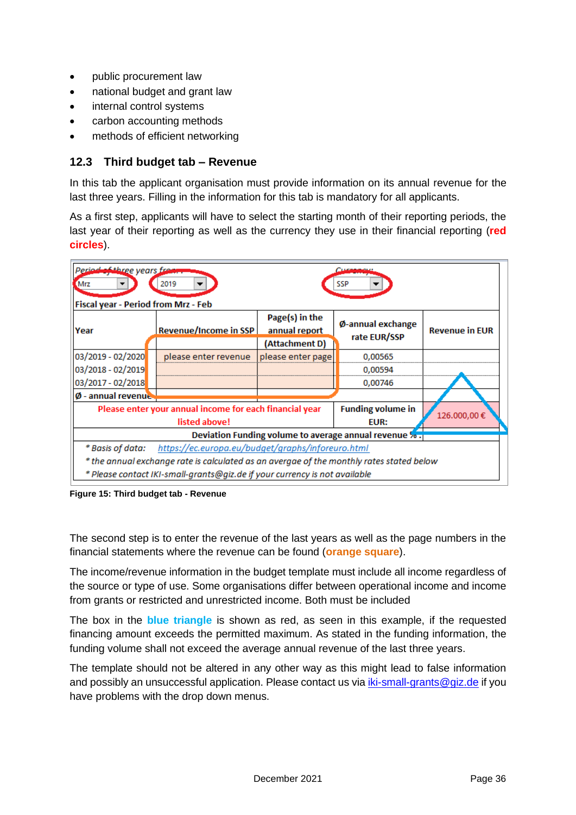- public procurement law
- national budget and grant law
- internal control systems
- carbon accounting methods
- methods of efficient networking

### <span id="page-36-0"></span>**12.3 Third budget tab – Revenue**

In this tab the applicant organisation must provide information on its annual revenue for the last three years. Filling in the information for this tab is mandatory for all applicants.

As a first step, applicants will have to select the starting month of their reporting periods, the last year of their reporting as well as the currency they use in their financial reporting (**red circles**).

| Period of three years from<br>2019<br><b>Mrz</b><br>SSP<br>Fiscal year - Period from Mrz - Feb |                              |                                     |                                   |                       |  |  |
|------------------------------------------------------------------------------------------------|------------------------------|-------------------------------------|-----------------------------------|-----------------------|--|--|
| Year                                                                                           | <b>Revenue/Income in SSP</b> | Page(s) in the<br>annual report     | Ø-annual exchange<br>rate EUR/SSP | <b>Revenue in EUR</b> |  |  |
| 03/2019 - 02/2020                                                                              | please enter revenue         | (Attachment D)<br>please enter page | 0,00565                           |                       |  |  |
| 03/2018 - 02/2019                                                                              |                              |                                     | 0.00594                           |                       |  |  |
| 03/2017 - 02/2018                                                                              |                              |                                     | 0,00746                           |                       |  |  |
| Ø - annual revenue                                                                             |                              |                                     |                                   |                       |  |  |
| Please enter your annual income for each financial year                                        |                              |                                     | <b>Funding volume in</b>          | 126.000,00€           |  |  |
| listed above!                                                                                  |                              | EUR:                                |                                   |                       |  |  |
| Deviation Funding volume to average annual revenue %.                                          |                              |                                     |                                   |                       |  |  |
| https://ec.europa.eu/budget/graphs/inforeuro.html<br>* Basis of data:                          |                              |                                     |                                   |                       |  |  |
| * the annual exchange rate is calculated as an avergae of the monthly rates stated below       |                              |                                     |                                   |                       |  |  |
| * Please contact IKI-small-grants@giz.de if your currency is not available                     |                              |                                     |                                   |                       |  |  |

<span id="page-36-1"></span>**Figure 15: Third budget tab - Revenue**

The second step is to enter the revenue of the last years as well as the page numbers in the financial statements where the revenue can be found (**orange square**).

The income/revenue information in the budget template must include all income regardless of the source or type of use. Some organisations differ between operational income and income from grants or restricted and unrestricted income. Both must be included

The box in the **blue triangle** is shown as red, as seen in this example, if the requested financing amount exceeds the permitted maximum. As stated in the funding information, the funding volume shall not exceed the average annual revenue of the last three years.

The template should not be altered in any other way as this might lead to false information and possibly an unsuccessful application. Please contact us via *iki-small-grants@giz.de* if you have problems with the drop down menus.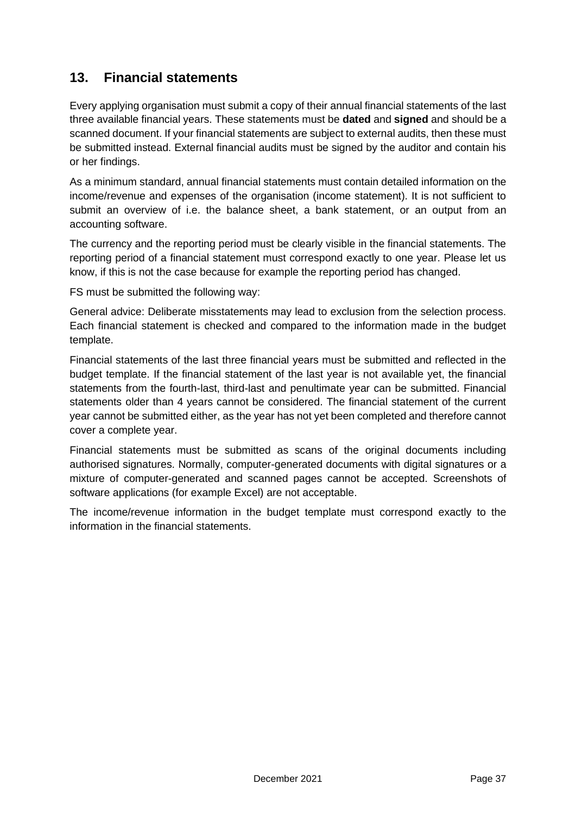# <span id="page-37-0"></span>**13. Financial statements**

Every applying organisation must submit a copy of their annual financial statements of the last three available financial years. These statements must be **dated** and **signed** and should be a scanned document. If your financial statements are subject to external audits, then these must be submitted instead. External financial audits must be signed by the auditor and contain his or her findings.

As a minimum standard, annual financial statements must contain detailed information on the income/revenue and expenses of the organisation (income statement). It is not sufficient to submit an overview of i.e. the balance sheet, a bank statement, or an output from an accounting software.

The currency and the reporting period must be clearly visible in the financial statements. The reporting period of a financial statement must correspond exactly to one year. Please let us know, if this is not the case because for example the reporting period has changed.

FS must be submitted the following way:

General advice: Deliberate misstatements may lead to exclusion from the selection process. Each financial statement is checked and compared to the information made in the budget template.

Financial statements of the last three financial years must be submitted and reflected in the budget template. If the financial statement of the last year is not available yet, the financial statements from the fourth-last, third-last and penultimate year can be submitted. Financial statements older than 4 years cannot be considered. The financial statement of the current year cannot be submitted either, as the year has not yet been completed and therefore cannot cover a complete year.

Financial statements must be submitted as scans of the original documents including authorised signatures. Normally, computer-generated documents with digital signatures or a mixture of computer-generated and scanned pages cannot be accepted. Screenshots of software applications (for example Excel) are not acceptable.

The income/revenue information in the budget template must correspond exactly to the information in the financial statements.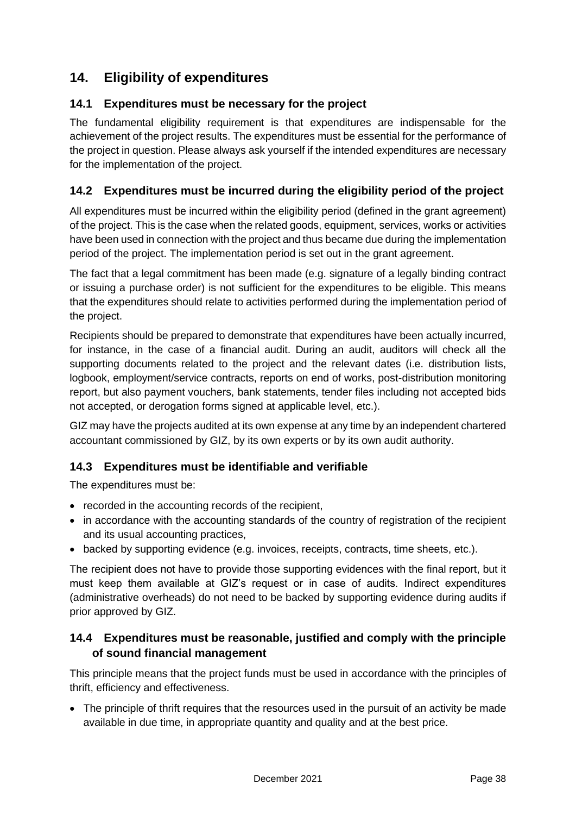# <span id="page-38-0"></span>**14. Eligibility of expenditures**

# <span id="page-38-1"></span>**14.1 Expenditures must be necessary for the project**

The fundamental eligibility requirement is that expenditures are indispensable for the achievement of the project results. The expenditures must be essential for the performance of the project in question. Please always ask yourself if the intended expenditures are necessary for the implementation of the project.

# <span id="page-38-2"></span>**14.2 Expenditures must be incurred during the eligibility period of the project**

All expenditures must be incurred within the eligibility period (defined in the grant agreement) of the project. This is the case when the related goods, equipment, services, works or activities have been used in connection with the project and thus became due during the implementation period of the project. The implementation period is set out in the grant agreement.

The fact that a legal commitment has been made (e.g. signature of a legally binding contract or issuing a purchase order) is not sufficient for the expenditures to be eligible. This means that the expenditures should relate to activities performed during the implementation period of the project.

Recipients should be prepared to demonstrate that expenditures have been actually incurred, for instance, in the case of a financial audit. During an audit, auditors will check all the supporting documents related to the project and the relevant dates (i.e. distribution lists, logbook, employment/service contracts, reports on end of works, post-distribution monitoring report, but also payment vouchers, bank statements, tender files including not accepted bids not accepted, or derogation forms signed at applicable level, etc.).

GIZ may have the projects audited at its own expense at any time by an independent chartered accountant commissioned by GIZ, by its own experts or by its own audit authority.

# <span id="page-38-3"></span>**14.3 Expenditures must be identifiable and verifiable**

The expenditures must be:

- recorded in the accounting records of the recipient,
- in accordance with the accounting standards of the country of registration of the recipient and its usual accounting practices,
- backed by supporting evidence (e.g. invoices, receipts, contracts, time sheets, etc.).

The recipient does not have to provide those supporting evidences with the final report, but it must keep them available at GIZ's request or in case of audits. Indirect expenditures (administrative overheads) do not need to be backed by supporting evidence during audits if prior approved by GIZ.

# <span id="page-38-4"></span>**14.4 Expenditures must be reasonable, justified and comply with the principle of sound financial management**

This principle means that the project funds must be used in accordance with the principles of thrift, efficiency and effectiveness.

• The principle of thrift requires that the resources used in the pursuit of an activity be made available in due time, in appropriate quantity and quality and at the best price.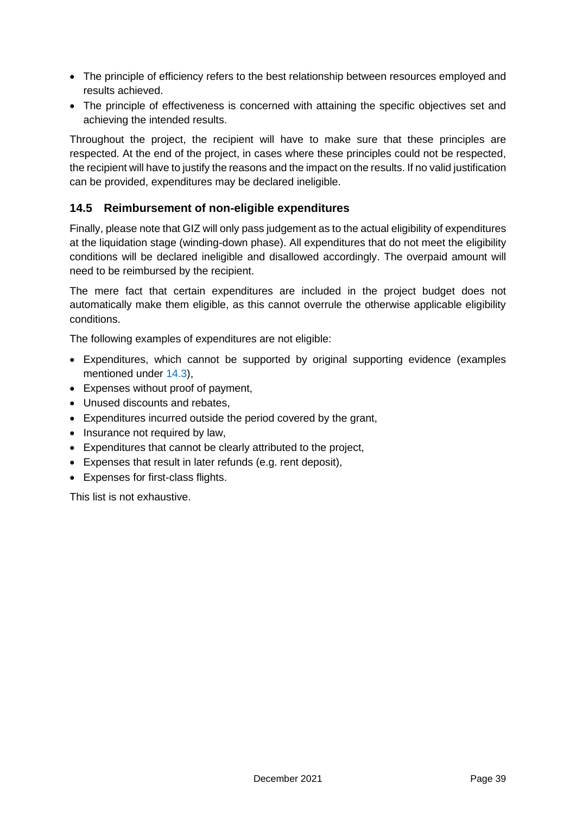- The principle of efficiency refers to the best relationship between resources employed and results achieved.
- The principle of effectiveness is concerned with attaining the specific objectives set and achieving the intended results.

Throughout the project, the recipient will have to make sure that these principles are respected. At the end of the project, in cases where these principles could not be respected, the recipient will have to justify the reasons and the impact on the results. If no valid justification can be provided, expenditures may be declared ineligible.

# <span id="page-39-0"></span>**14.5 Reimbursement of non-eligible expenditures**

Finally, please note that GIZ will only pass judgement as to the actual eligibility of expenditures at the liquidation stage (winding-down phase). All expenditures that do not meet the eligibility conditions will be declared ineligible and disallowed accordingly. The overpaid amount will need to be reimbursed by the recipient.

The mere fact that certain expenditures are included in the project budget does not automatically make them eligible, as this cannot overrule the otherwise applicable eligibility conditions.

The following examples of expenditures are not eligible:

- Expenditures, which cannot be supported by original supporting evidence (examples mentioned under [14.3\)](#page-38-3),
- Expenses without proof of payment,
- Unused discounts and rebates,
- Expenditures incurred outside the period covered by the grant,
- Insurance not required by law.
- Expenditures that cannot be clearly attributed to the project,
- Expenses that result in later refunds (e.g. rent deposit),
- Expenses for first-class flights.

This list is not exhaustive.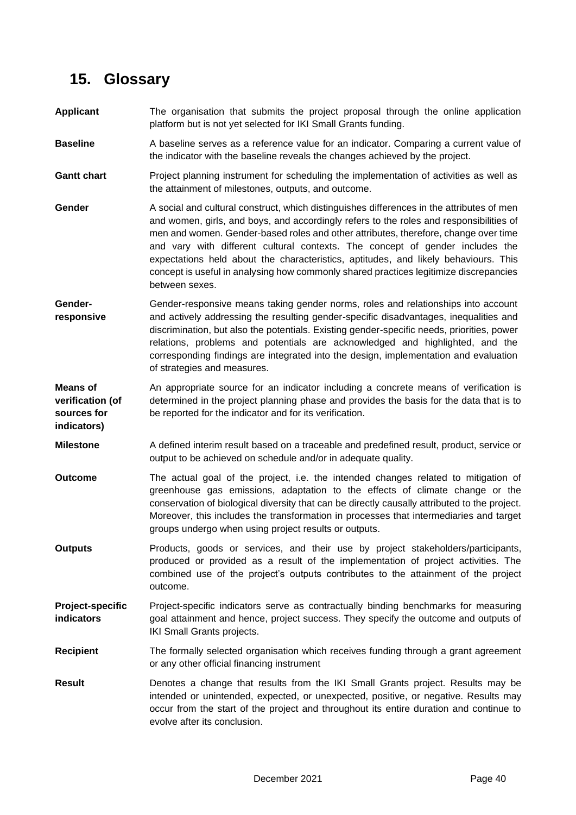# <span id="page-40-0"></span>**15. Glossary**

**indicators)**

- **Applicant** The organisation that submits the project proposal through the online application platform but is not yet selected for IKI Small Grants funding.
- **Baseline** A baseline serves as a reference value for an indicator. Comparing a current value of the indicator with the baseline reveals the changes achieved by the project.
- **Gantt chart** Project planning instrument for scheduling the implementation of activities as well as the attainment of milestones, outputs, and outcome.
- **Gender** A social and cultural construct, which distinguishes differences in the attributes of men and women, girls, and boys, and accordingly refers to the roles and responsibilities of men and women. Gender-based roles and other attributes, therefore, change over time and vary with different cultural contexts. The concept of gender includes the expectations held about the characteristics, aptitudes, and likely behaviours. This concept is useful in analysing how commonly shared practices legitimize discrepancies between sexes.
- **Genderresponsive** Gender-responsive means taking gender norms, roles and relationships into account and actively addressing the resulting gender-specific disadvantages, inequalities and discrimination, but also the potentials. Existing gender-specific needs, priorities, power relations, problems and potentials are acknowledged and highlighted, and the corresponding findings are integrated into the design, implementation and evaluation of strategies and measures.
- **Means of verification (of sources for**  An appropriate source for an indicator including a concrete means of verification is determined in the project planning phase and provides the basis for the data that is to be reported for the indicator and for its verification.
- **Milestone** A defined interim result based on a traceable and predefined result, product, service or output to be achieved on schedule and/or in adequate quality.
- **Outcome** The actual goal of the project, i.e. the intended changes related to mitigation of greenhouse gas emissions, adaptation to the effects of climate change or the conservation of biological diversity that can be directly causally attributed to the project. Moreover, this includes the transformation in processes that intermediaries and target groups undergo when using project results or outputs.
- **Outputs** Products, goods or services, and their use by project stakeholders/participants, produced or provided as a result of the implementation of project activities. The combined use of the project's outputs contributes to the attainment of the project outcome.
- **Project-specific indicators** Project-specific indicators serve as contractually binding benchmarks for measuring goal attainment and hence, project success. They specify the outcome and outputs of IKI Small Grants projects.
- **Recipient** The formally selected organisation which receives funding through a grant agreement or any other official financing instrument
- **Result** Denotes a change that results from the IKI Small Grants project. Results may be intended or unintended, expected, or unexpected, positive, or negative. Results may occur from the start of the project and throughout its entire duration and continue to evolve after its conclusion.